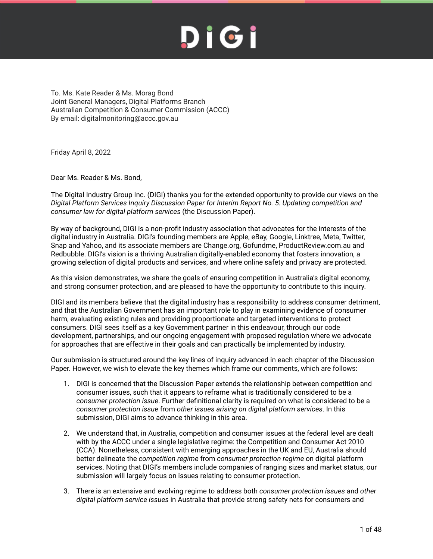To. Ms. Kate Reader & Ms. Morag Bond Joint General Managers, Digital Platforms Branch Australian Competition & Consumer Commission (ACCC) By email: digitalmonitoring@accc.gov.au

Friday April 8, 2022

Dear Ms. Reader & Ms. Bond,

The Digital Industry Group Inc. (DIGI) thanks you for the extended opportunity to provide our views on the *Digital Platform Services Inquiry Discussion Paper for Interim Report No. 5: Updating competition and consumer law for digital platform services* (the Discussion Paper).

By way of background, DIGI is a non-profit industry association that advocates for the interests of the digital industry in Australia. DIGI's founding members are Apple, eBay, Google, Linktree, Meta, Twitter, Snap and Yahoo, and its associate members are Change.org, Gofundme, ProductReview.com.au and Redbubble. DIGI's vision is a thriving Australian digitally-enabled economy that fosters innovation, a growing selection of digital products and services, and where online safety and privacy are protected.

As this vision demonstrates, we share the goals of ensuring competition in Australia's digital economy, and strong consumer protection, and are pleased to have the opportunity to contribute to this inquiry.

DIGI and its members believe that the digital industry has a responsibility to address consumer detriment, and that the Australian Government has an important role to play in examining evidence of consumer harm, evaluating existing rules and providing proportionate and targeted interventions to protect consumers. DIGI sees itself as a key Government partner in this endeavour, through our code development, partnerships, and our ongoing engagement with proposed regulation where we advocate for approaches that are effective in their goals and can practically be implemented by industry.

Our submission is structured around the key lines of inquiry advanced in each chapter of the Discussion Paper. However, we wish to elevate the key themes which frame our comments, which are follows:

- 1. DIGI is concerned that the Discussion Paper extends the relationship between competition and consumer issues, such that it appears to reframe what is traditionally considered to be a *consumer protection issue*. Further definitional clarity is required on what is considered to be a *consumer protection issue* from *other issues arising on digital platform services*. In this submission, DIGI aims to advance thinking in this area.
- 2. We understand that, in Australia, competition and consumer issues at the federal level are dealt with by the ACCC under a single legislative regime: the Competition and Consumer Act 2010 (CCA). Nonetheless, consistent with emerging approaches in the UK and EU, Australia should better delineate the *competition regime* from *consumer protection regime* on digital platform services. Noting that DIGI's members include companies of ranging sizes and market status, our submission will largely focus on issues relating to consumer protection.
- 3. There is an extensive and evolving regime to address both *consumer protection issues* and *other digital platform service issues* in Australia that provide strong safety nets for consumers and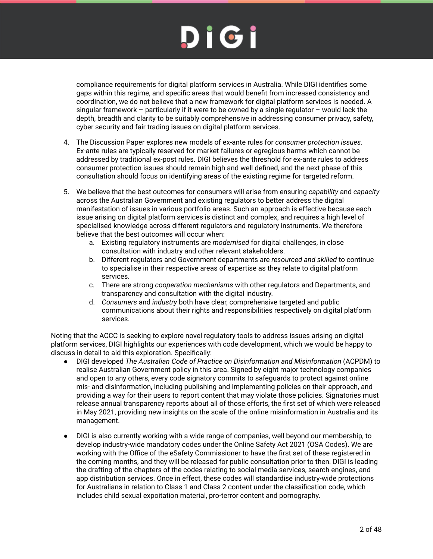compliance requirements for digital platform services in Australia. While DIGI identifies some gaps within this regime, and specific areas that would benefit from increased consistency and coordination, we do not believe that a new framework for digital platform services is needed. A singular framework – particularly if it were to be owned by a single regulator – would lack the depth, breadth and clarity to be suitably comprehensive in addressing consumer privacy, safety, cyber security and fair trading issues on digital platform services.

- 4. The Discussion Paper explores new models of ex-ante rules for *consumer protection issues*. Ex-ante rules are typically reserved for market failures or egregious harms which cannot be addressed by traditional ex-post rules. DIGI believes the threshold for ex-ante rules to address consumer protection issues should remain high and well defined, and the next phase of this consultation should focus on identifying areas of the existing regime for targeted reform.
- 5. We believe that the best outcomes for consumers will arise from ensuring *capability* and *capacity* across the Australian Government and existing regulators to better address the digital manifestation of issues in various portfolio areas. Such an approach is effective because each issue arising on digital platform services is distinct and complex, and requires a high level of specialised knowledge across different regulators and regulatory instruments. We therefore believe that the best outcomes will occur when:
	- a. Existing regulatory instruments are *modernised* for digital challenges, in close consultation with industry and other relevant stakeholders.
	- b. Different regulators and Government departments are *resourced and skilled* to continue to specialise in their respective areas of expertise as they relate to digital platform services.
	- c. There are strong *cooperation mechanisms* with other regulators and Departments, and transparency and consultation with the digital industry.
	- d. *Consumers* and *industry* both have clear, comprehensive targeted and public communications about their rights and responsibilities respectively on digital platform services.

Noting that the ACCC is seeking to explore novel regulatory tools to address issues arising on digital platform services, DIGI highlights our experiences with code development, which we would be happy to discuss in detail to aid this exploration. Specifically:

- DIGI developed *The Australian Code of Practice on Disinformation and Misinformation* (ACPDM) to realise Australian Government policy in this area. Signed by eight major technology companies and open to any others, every code signatory commits to safeguards to protect against online mis- and disinformation, including publishing and implementing policies on their approach, and providing a way for their users to report content that may violate those policies. Signatories must release annual transparency reports about all of those efforts, the first set of which were released in May 2021, providing new insights on the scale of the online misinformation in Australia and its management.
- DIGI is also currently working with a wide range of companies, well beyond our membership, to develop industry-wide mandatory codes under the Online Safety Act 2021 (OSA Codes). We are working with the Office of the eSafety Commissioner to have the first set of these registered in the coming months, and they will be released for public consultation prior to then. DIGI is leading the drafting of the chapters of the codes relating to social media services, search engines, and app distribution services. Once in effect, these codes will standardise industry-wide protections for Australians in relation to Class 1 and Class 2 content under the classification code, which includes child sexual expoitation material, pro-terror content and pornography.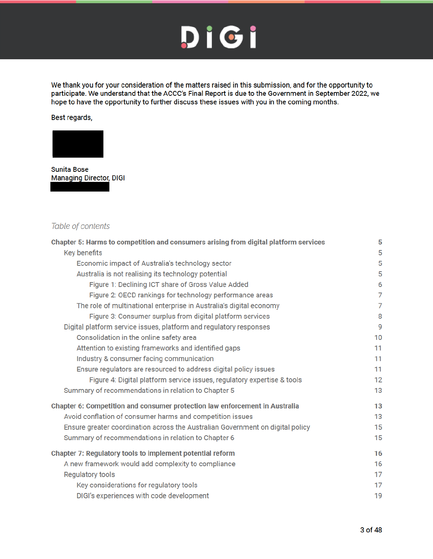We thank you for your consideration of the matters raised in this submission, and for the opportunity to participate. We understand that the ACCC's Final Report is due to the Government in September 2022, we hope to have the opportunity to further discuss these issues with you in the coming months.

Best regards,



**Sunita Bose Managing Director, DIGI** 

#### Table of contents

| Chapter 5: Harms to competition and consumers arising from digital platform services | 5              |
|--------------------------------------------------------------------------------------|----------------|
| Key benefits                                                                         | 5              |
| Economic impact of Australia's technology sector                                     | 5              |
| Australia is not realising its technology potential                                  | 5              |
| Figure 1: Declining ICT share of Gross Value Added                                   | 6              |
| Figure 2: OECD rankings for technology performance areas                             | $\overline{7}$ |
| The role of multinational enterprise in Australia's digital economy                  | 7              |
| Figure 3: Consumer surplus from digital platform services                            | 8              |
| Digital platform service issues, platform and regulatory responses                   | 9              |
| Consolidation in the online safety area                                              | 10             |
| Attention to existing frameworks and identified gaps                                 | 11             |
| Industry & consumer facing communication                                             | 11             |
| Ensure regulators are resourced to address digital policy issues                     | 11             |
| Figure 4: Digital platform service issues, regulatory expertise & tools              | 12             |
| Summary of recommendations in relation to Chapter 5                                  | 13             |
| Chapter 6: Competition and consumer protection law enforcement in Australia          | 13             |
| Avoid conflation of consumer harms and competition issues                            | 13             |
| Ensure greater coordination across the Australian Government on digital policy       | 15             |
| Summary of recommendations in relation to Chapter 6                                  | 15             |
| Chapter 7: Regulatory tools to implement potential reform                            | 16             |
| A new framework would add complexity to compliance                                   | 16             |
| <b>Regulatory tools</b>                                                              | 17             |
| Key considerations for regulatory tools                                              | 17             |
| DIGI's experiences with code development                                             | 19             |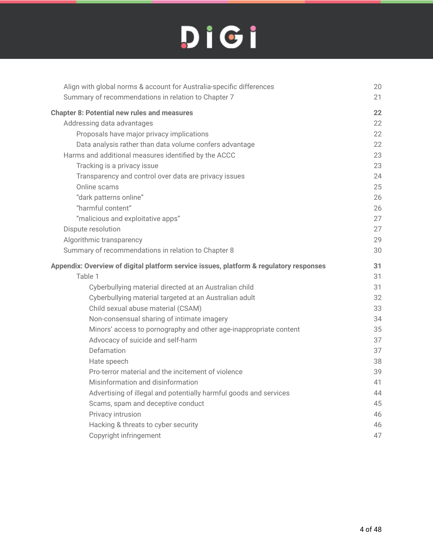| Align with global norms & account for Australia-specific differences                   | 20 |
|----------------------------------------------------------------------------------------|----|
| Summary of recommendations in relation to Chapter 7                                    | 21 |
| <b>Chapter 8: Potential new rules and measures</b>                                     | 22 |
| Addressing data advantages                                                             | 22 |
| Proposals have major privacy implications                                              | 22 |
| Data analysis rather than data volume confers advantage                                | 22 |
| Harms and additional measures identified by the ACCC                                   | 23 |
| Tracking is a privacy issue                                                            | 23 |
| Transparency and control over data are privacy issues                                  | 24 |
| Online scams                                                                           | 25 |
| "dark patterns online"                                                                 | 26 |
| "harmful content"                                                                      | 26 |
| "malicious and exploitative apps"                                                      | 27 |
| Dispute resolution                                                                     | 27 |
| Algorithmic transparency                                                               | 29 |
| Summary of recommendations in relation to Chapter 8                                    | 30 |
|                                                                                        |    |
| Appendix: Overview of digital platform service issues, platform & regulatory responses | 31 |
| Table 1                                                                                | 31 |
| Cyberbullying material directed at an Australian child                                 | 31 |
| Cyberbullying material targeted at an Australian adult                                 | 32 |
| Child sexual abuse material (CSAM)                                                     | 33 |
| Non-consensual sharing of intimate imagery                                             | 34 |
| Minors' access to pornography and other age-inappropriate content                      | 35 |
| Advocacy of suicide and self-harm                                                      | 37 |
| Defamation                                                                             | 37 |
| Hate speech                                                                            | 38 |
| Pro-terror material and the incitement of violence                                     | 39 |
| Misinformation and disinformation                                                      | 41 |
| Advertising of illegal and potentially harmful goods and services                      | 44 |
| Scams, spam and deceptive conduct                                                      | 45 |
| Privacy intrusion                                                                      | 46 |
| Hacking & threats to cyber security                                                    | 46 |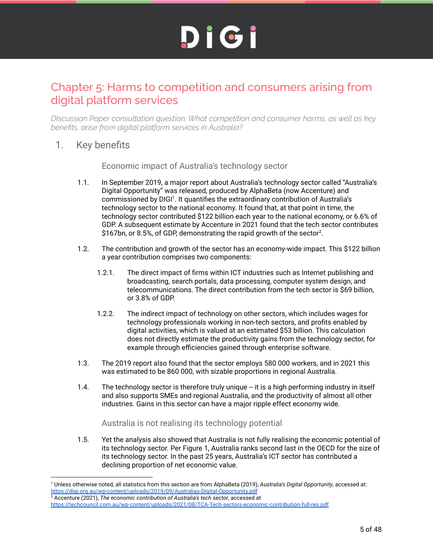#### Chapter 5: Harms to competition and consumers arising from digital platform services

*DIscussion Paper consultation question: What competition and consumer harms, as well as key benefits, arise from digital platform services in Australia?*

1. Key benefits

Economic impact of Australia's technology sector

- 1.1. In September 2019, a major report about Australia's technology sector called "Australia's Digital Opportunity" was released, produced by AlphaBeta (now Accenture) and commissioned by DIGI<sup>1</sup>. It quantifies the extraordinary contribution of Australia's technology sector to the national economy. It found that, at that point in time, the technology sector contributed \$122 billion each year to the national economy, or 6.6% of GDP. A subsequent estimate by Accenture in 2021 found that the tech sector contributes \$167bn, or 8.5%, of GDP, demonstrating the rapid growth of the sector<sup>2</sup>.
- 1.2. The contribution and growth of the sector has an economy-wide impact. This \$122 billion a year contribution comprises two components:
	- 1.2.1. The direct impact of firms within ICT industries such as Internet publishing and broadcasting, search portals, data processing, computer system design, and telecommunications. The direct contribution from the tech sector is \$69 billion, or 3.8% of GDP.
	- 1.2.2. The indirect impact of technology on other sectors, which includes wages for technology professionals working in non-tech sectors, and profits enabled by digital activities, which is valued at an estimated \$53 billion. This calculation does not directly estimate the productivity gains from the technology sector, for example through efficiencies gained through enterprise software.
- 1.3. The 2019 report also found that the sector employs 580 000 workers, and in 2021 this was estimated to be 860 000, with sizable proportions in regional Australia.
- 1.4. The technology sector is therefore truly unique -- it is a high performing industry in itself and also supports SMEs and regional Australia, and the productivity of almost all other industries. Gains in this sector can have a major ripple effect economy wide.

Australia is not realising its technology potential

1.5. Yet the analysis also showed that Australia is not fully realising the economic potential of its technology sector. Per Figure 1, Australia ranks second last in the OECD for the size of its technology sector. In the past 25 years, Australia's ICT sector has contributed a declining proportion of net economic value.

<sup>1</sup> Unless otherwise noted, all statistics from this section are from AlphaBeta (2019), *Australia's Digital Opportunity*, accessed at: https://digi.org.au/wp-content/uploads/2019/09/Australias-Digital-Opportunity.pdf

<sup>2</sup> Accenture (2021), *The economic contribution of Australia's tech sector*, accessed at https://techcouncil.com.au/wp-content/uploads/2021/08/TCA-Tech-sectors-economic-contribution-full-res.pdf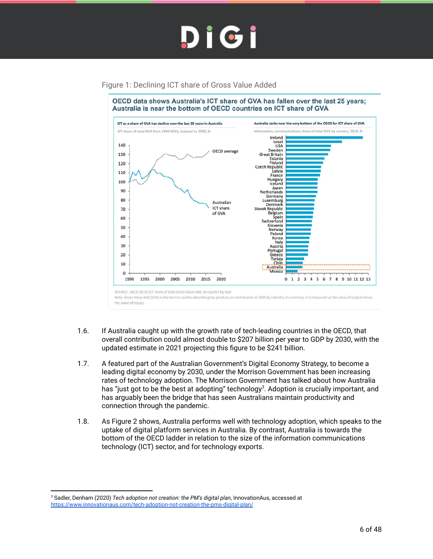

#### Figure 1: Declining ICT share of Gross Value Added



- 1.6. If Australia caught up with the growth rate of tech-leading countries in the OECD, that overall contribution could almost double to \$207 billion per year to GDP by 2030, with the updated estimate in 2021 projecting this figure to be \$241 billion.
- 1.7. A featured part of the Australian Government's Digital Economy Strategy, to become a leading digital economy by 2030, under the Morrison Government has been increasing rates of technology adoption. The Morrison Government has talked about how Australia has "just got to be the best at adopting" technology<sup>3</sup>. Adoption is crucially important, and has arguably been the bridge that has seen Australians maintain productivity and connection through the pandemic.
- 1.8. As Figure 2 shows, Australia performs well with technology adoption, which speaks to the uptake of digital platform services in Australia. By contrast, Australia is towards the bottom of the OECD ladder in relation to the size of the information communications technology (ICT) sector, and for technology exports.

<sup>3</sup> Sadler, Denham (2020) *Tech adoption not creation: the PM's digital plan*, InnovationAus, accessed at https://www.innovationaus.com/tech-adoption-not-creation-the-pms-digital-plan/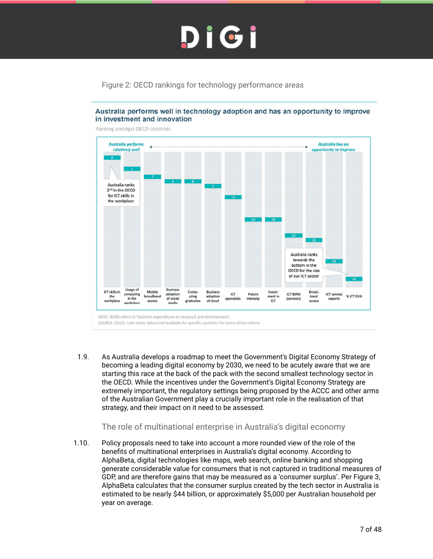#### Figure 2: OECD rankings for technology performance areas



Australia performs well in technology adoption and has an opportunity to improve in investment and innovation

Ranking amongst OECD countries

1.9. As Australia develops a roadmap to meet the Government's Digital Economy Strategy of becoming a leading digital economy by 2030, we need to be acutely aware that we are starting this race at the back of the pack with the second smallest technology sector in the OECD. While the incentives under the Government's Digital Economy Strategy are extremely important, the regulatory settings being proposed by the ACCC and other arms of the Australian Government play a crucially important role in the realisation of that strategy, and their impact on it need to be assessed.

#### The role of multinational enterprise in Australia's digital economy

1.10. Policy proposals need to take into account a more rounded view of the role of the benefits of multinational enterprises in Australia's digital economy. According to AlphaBeta, digital technologies like maps, web search, online banking and shopping generate considerable value for consumers that is not captured in traditional measures of GDP, and are therefore gains that may be measured as a 'consumer surplus'. Per Figure 3, AlphaBeta calculates that the consumer surplus created by the tech sector in Australia is estimated to be nearly \$44 billion, or approximately \$5,000 per Australian household per year on average.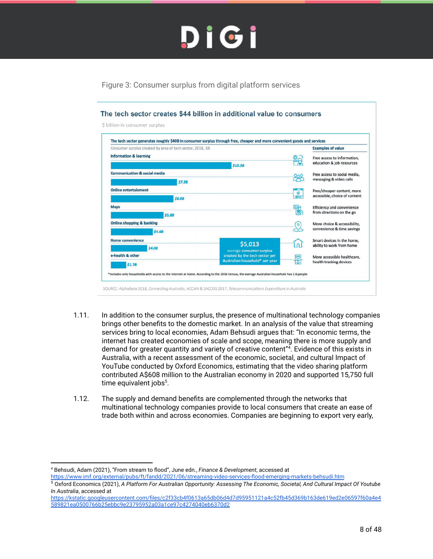Figure 3: Consumer surplus from digital platform services



- 1.11. In addition to the consumer surplus, the presence of multinational technology companies brings other benefits to the domestic market. In an analysis of the value that streaming services bring to local economies, Adam Behsudi argues that: "In economic terms, the internet has created economies of scale and scope, meaning there is more supply and demand for greater quantity and variety of creative content"<sup>4</sup> . Evidence of this exists in Australia, with a recent assessment of the economic, societal, and cultural Impact of YouTube conducted by Oxford Economics, estimating that the video sharing platform contributed A\$608 million to the Australian economy in 2020 and supported 15,750 full time equivalent jobs<sup>5</sup>.
- 1.12. The supply and demand benefits are complemented through the networks that multinational technology companies provide to local consumers that create an ease of trade both within and across economies. Companies are beginning to export very early,

<sup>4</sup> Behsudi, Adam (2021), "From stream to flood", June edn., *Finance & Development*, accessed at

https://www.imf.org/external/pubs/ft/fandd/2021/06/streaming-video-services-flood-emerging-markets-behsudi.htm

<sup>5</sup> Oxford Economics (2021), *A Platform For Australian Opportunity: Assessing The Economic, Societal, And Cultural Impact Of Youtube In Australia*, accessed at

https://kstatic.googleusercontent.com/files/c2f33cb4f0613a65db06d4d7d95951121a4c52fb45d369b163de619ed2e06597f60a4e4 589821ea0500766b25ebbc9e23795952a03a1ce97c4274040eb6370d2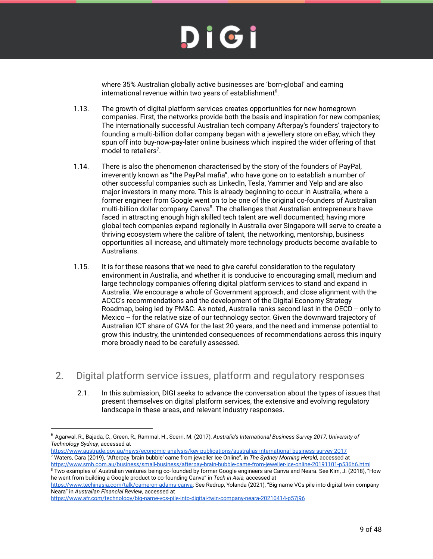where 35% Australian globally active businesses are 'born-global' and earning international revenue within two years of establishment $6$ .

- 1.13. The growth of digital platform services creates opportunities for new homegrown companies. First, the networks provide both the basis and inspiration for new companies; The internationally successful Australian tech company Afterpay's founders' trajectory to founding a multi-billion dollar company began with a jewellery store on eBay, which they spun off into buy-now-pay-later online business which inspired the wider offering of that model to retailers<sup>7</sup>.
- 1.14. There is also the phenomenon characterised by the story of the founders of PayPal, irreverently known as "the PayPal mafia", who have gone on to establish a number of other successful companies such as LinkedIn, Tesla, Yammer and Yelp and are also major investors in many more. This is already beginning to occur in Australia, where a former engineer from Google went on to be one of the original co-founders of Australian multi-billion dollar company Canva<sup>8</sup>. The challenges that Australian entrepreneurs have faced in attracting enough high skilled tech talent are well documented; having more global tech companies expand regionally in Australia over Singapore will serve to create a thriving ecosystem where the calibre of talent, the networking, mentorship, business opportunities all increase, and ultimately more technology products become available to Australians.
- 1.15. It is for these reasons that we need to give careful consideration to the regulatory environment in Australia, and whether it is conducive to encouraging small, medium and large technology companies offering digital platform services to stand and expand in Australia. We encourage a whole of Government approach, and close alignment with the ACCC's recommendations and the development of the Digital Economy Strategy Roadmap, being led by PM&C. As noted, Australia ranks second last in the OECD -- only to Mexico -- for the relative size of our technology sector. Given the downward trajectory of Australian ICT share of GVA for the last 20 years, and the need and immense potential to grow this industry, the unintended consequences of recommendations across this inquiry more broadly need to be carefully assessed.
- 2. Digital platform service issues, platform and regulatory responses
	- 2.1. In this submission, DIGI seeks to advance the conversation about the types of issues that present themselves on digital platform services, the extensive and evolving regulatory landscape in these areas, and relevant industry responses.

<u>https://www.austrade.gov.au/news/economic-analysis/key-publications/australias-international-business-survey-2017</u><br><sup>7</sup> Waters, Cara (2019), "Afterpay 'brain bubble' came from jeweller Ice Online", in *The Sydney Morning H* 

<sup>8</sup> Two examples of Australian ventures being co-founded by former Google engineers are Canva and Neara. See Kim, J. (2018), "How https://www.smh.com.au/business/small-business/afterpay-brain-bubble-came-from-jeweller-ice-online-20191101-p536h6.html

he went from building a Google product to co-founding Canva" in *Tech in Asia,* accessed at https://www.techinasia.com/talk/cameron-adams-canva; See Redrup, Yolanda (2021), "Big-name VCs pile into digital twin company

Neara" in *Australian Financial Review*, accessed at

<sup>6</sup> Agarwal, R., Bajada, C., Green, R., Rammal, H., Scerri, M. (2017), *Australia's International Business Survey 2017, University of Technology Sydney*, accessed at

https://www.afr.com/technology/big-name-vcs-pile-into-digital-twin-company-neara-20210414-p57j96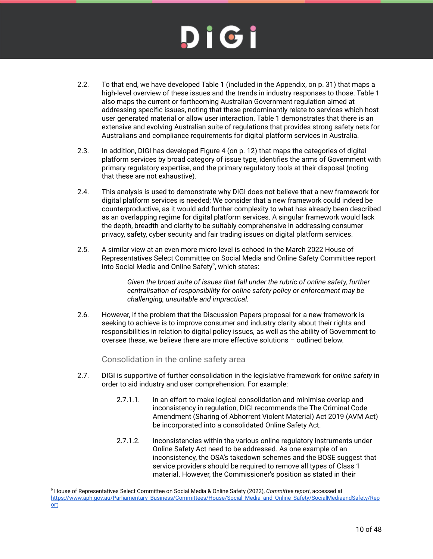- 2.2. To that end, we have developed Table 1 (included in the Appendix, on p. 31) that maps a high-level overview of these issues and the trends in industry responses to those. Table 1 also maps the current or forthcoming Australian Government regulation aimed at addressing specific issues, noting that these predominantly relate to services which host user generated material or allow user interaction. Table 1 demonstrates that there is an extensive and evolving Australian suite of regulations that provides strong safety nets for Australians and compliance requirements for digital platform services in Australia.
- 2.3. In addition, DIGI has developed Figure 4 (on p. 12) that maps the categories of digital platform services by broad category of issue type, identifies the arms of Government with primary regulatory expertise, and the primary regulatory tools at their disposal (noting that these are not exhaustive).
- 2.4. This analysis is used to demonstrate why DIGI does not believe that a new framework for digital platform services is needed; We consider that a new framework could indeed be counterproductive, as it would add further complexity to what has already been described as an overlapping regime for digital platform services. A singular framework would lack the depth, breadth and clarity to be suitably comprehensive in addressing consumer privacy, safety, cyber security and fair trading issues on digital platform services.
- 2.5. A similar view at an even more micro level is echoed in the March 2022 House of Representatives Select Committee on Social Media and Online Safety Committee report into Social Media and Online Safety<sup>9</sup>, which states:

*Given the broad suite of issues that fall under the rubric of online safety, further centralisation of responsibility for online safety policy or enforcement may be challenging, unsuitable and impractical.*

2.6. However, if the problem that the Discussion Papers proposal for a new framework is seeking to achieve is to improve consumer and industry clarity about their rights and responsibilities in relation to digital policy issues, as well as the ability of Government to oversee these, we believe there are more effective solutions – outlined below.

Consolidation in the online safety area

- 2.7. DIGI is supportive of further consolidation in the legislative framework for *online safety* in order to aid industry and user comprehension. For example:
	- 2.7.1.1. In an effort to make logical consolidation and minimise overlap and inconsistency in regulation, DIGI recommends the The Criminal Code Amendment (Sharing of Abhorrent Violent Material) Act 2019 (AVM Act) be incorporated into a consolidated Online Safety Act.
	- 2.7.1.2. Inconsistencies within the various online regulatory instruments under Online Safety Act need to be addressed. As one example of an inconsistency, the OSA's takedown schemes and the BOSE suggest that service providers should be required to remove all types of Class 1 material. However, the Commissioner's position as stated in their

<sup>9</sup> House of Representatives Select Committee on Social Media & Online Safety (2022), *Committee report*, accessed at https://www.aph.gov.au/Parliamentary\_Business/Committees/House/Social\_Media\_and\_Online\_Safety/SocialMediaandSafety/Rep ort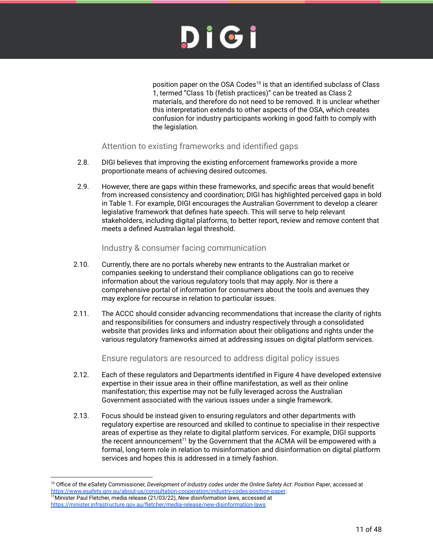position paper on the OSA Codes<sup>10</sup> is that an identified subclass of Class 1, termed "Class 1b (fetish practices)" can be treated as Class 2 materials, and therefore do not need to be removed. It is unclear whether this interpretation extends to other aspects of the OSA, which creates confusion for industry participants working in good faith to comply with the legislation.

#### Attention to existing frameworks and identified gaps

- 2.8. DIGI believes that improving the existing enforcement frameworks provide a more proportionate means of achieving desired outcomes.
- 2.9. However, there are gaps within these frameworks, and specific areas that would benefit from increased consistency and coordination; DIGI has highlighted perceived gaps in bold in Table 1. For example, DIGI encourages the Australian Government to develop a clearer legislative framework that defines hate speech. This will serve to help relevant stakeholders, including digital platforms, to better report, review and remove content that meets a defined Australian legal threshold.

#### Industry & consumer facing communication

- 2.10. Currently, there are no portals whereby new entrants to the Australian market or companies seeking to understand their compliance obligations can go to receive information about the various regulatory tools that may apply. Nor is there a comprehensive portal of information for consumers about the tools and avenues they may explore for recourse in relation to particular issues.
- 2.11. The ACCC should consider advancing recommendations that increase the clarity of rights and responsibilities for consumers and industry respectively through a consolidated website that provides links and information about their obligations and rights under the various regulatory frameworks aimed at addressing issues on digital platform services.

#### Ensure regulators are resourced to address digital policy issues

- 2.12. Each of these regulators and Departments identified in Figure 4 have developed extensive expertise in their issue area in their offline manifestation, as well as their online manifestation; this expertise may not be fully leveraged across the Australian Government associated with the various issues under a single framework.
- 2.13. Focus should be instead given to ensuring regulators and other departments with regulatory expertise are resourced and skilled to continue to specialise in their respective areas of expertise as they relate to digital platform services. For example, DIGI supports the recent announcement<sup>11</sup> by the Government that the ACMA will be empowered with a formal, long-term role in relation to misinformation and disinformation on digital platform services and hopes this is addressed in a timely fashion.

<sup>11</sup>Minister Paul Fletcher, media release (21/03/22), *New disinformation laws*, accessed at https://minister.infrastructure.gov.au/fletcher/media-release/new-disinformation-laws <sup>10</sup> Office of the eSafety Commissioner, *Development of industry codes under the Online Safety Act: Position Paper*, accessed at https://www.esafety.gov.au/about-us/consultation-cooperation/industry-codes-position-paper.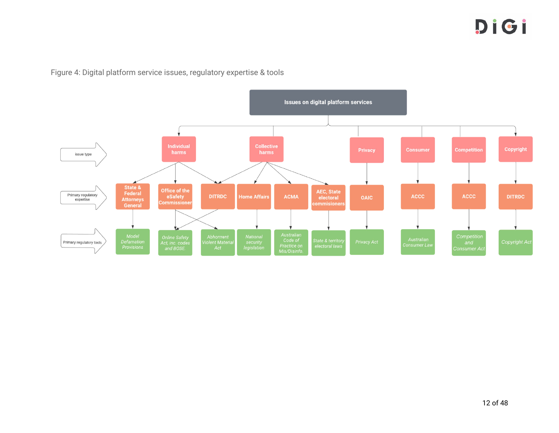

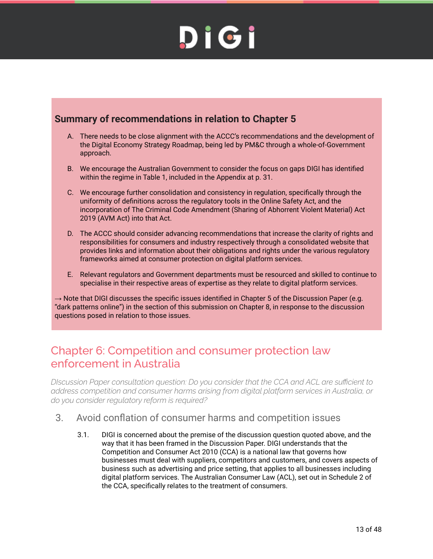#### **Summary of recommendations in relation to Chapter 5**

- A. There needs to be close alignment with the ACCC's recommendations and the development of the Digital Economy Strategy Roadmap, being led by PM&C through a whole-of-Government approach.
- B. We encourage the Australian Government to consider the focus on gaps DIGI has identified within the regime in Table 1, included in the Appendix at p. 31.
- C. We encourage further consolidation and consistency in regulation, specifically through the uniformity of definitions across the regulatory tools in the Online Safety Act, and the incorporation of The Criminal Code Amendment (Sharing of Abhorrent Violent Material) Act 2019 (AVM Act) into that Act.
- D. The ACCC should consider advancing recommendations that increase the clarity of rights and responsibilities for consumers and industry respectively through a consolidated website that provides links and information about their obligations and rights under the various regulatory frameworks aimed at consumer protection on digital platform services.
- E. Relevant regulators and Government departments must be resourced and skilled to continue to specialise in their respective areas of expertise as they relate to digital platform services.

 $\rightarrow$  Note that DIGI discusses the specific issues identified in Chapter 5 of the Discussion Paper (e.g. "dark patterns online") in the section of this submission on Chapter 8, in response to the discussion questions posed in relation to those issues.

#### Chapter 6: Competition and consumer protection law enforcement in Australia

*DIscussion Paper consultation question: Do you consider that the CCA and ACL are sufficient to address competition and consumer harms arising from digital platform services in Australia, or do you consider regulatory reform is required?*

- 3. Avoid conflation of consumer harms and competition issues
	- 3.1. DIGI is concerned about the premise of the discussion question quoted above, and the way that it has been framed in the Discussion Paper. DIGI understands that the Competition and Consumer Act 2010 (CCA) is a national law that governs how businesses must deal with suppliers, competitors and customers, and covers aspects of business such as advertising and price setting, that applies to all businesses including digital platform services. The Australian Consumer Law (ACL), set out in Schedule 2 of the CCA, specifically relates to the treatment of consumers.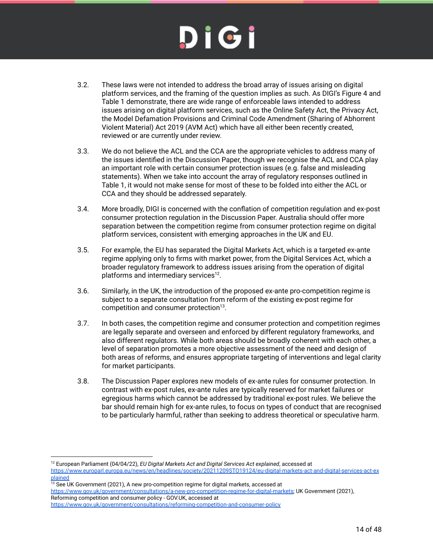- 3.2. These laws were not intended to address the broad array of issues arising on digital platform services, and the framing of the question implies as such. As DIGI's Figure 4 and Table 1 demonstrate, there are wide range of enforceable laws intended to address issues arising on digital platform services, such as the Online Safety Act, the Privacy Act, the Model Defamation Provisions and Criminal Code Amendment (Sharing of Abhorrent Violent Material) Act 2019 (AVM Act) which have all either been recently created, reviewed or are currently under review.
- 3.3. We do not believe the ACL and the CCA are the appropriate vehicles to address many of the issues identified in the Discussion Paper, though we recognise the ACL and CCA play an important role with certain consumer protection issues (e.g. false and misleading statements). When we take into account the array of regulatory responses outlined in Table 1, it would not make sense for most of these to be folded into either the ACL or CCA and they should be addressed separately.
- 3.4. More broadly, DIGI is concerned with the conflation of competition regulation and ex-post consumer protection regulation in the Discussion Paper. Australia should offer more separation between the competition regime from consumer protection regime on digital platform services, consistent with emerging approaches in the UK and EU.
- 3.5. For example, the EU has separated the Digital Markets Act, which is a targeted ex-ante regime applying only to firms with market power, from the Digital Services Act, which a broader regulatory framework to address issues arising from the operation of digital platforms and intermediary services $^{12}$ .
- 3.6. Similarly, in the UK, the introduction of the proposed ex-ante pro-competition regime is subject to a separate consultation from reform of the existing ex-post regime for competition and consumer protection $13$ .
- 3.7. In both cases, the competition regime and consumer protection and competition regimes are legally separate and overseen and enforced by different regulatory frameworks, and also different regulators. While both areas should be broadly coherent with each other, a level of separation promotes a more objective assessment of the need and design of both areas of reforms, and ensures appropriate targeting of interventions and legal clarity for market participants.
- 3.8. The Discussion Paper explores new models of ex-ante rules for consumer protection. In contrast with ex-post rules, ex-ante rules are typically reserved for market failures or egregious harms which cannot be addressed by traditional ex-post rules. We believe the bar should remain high for ex-ante rules, to focus on types of conduct that are recognised to be particularly harmful, rather than seeking to address theoretical or speculative harm.

<sup>13</sup> See UK Government (2021), A new pro-competition regime for digital markets, accessed at https://www.gov.uk/government/consultations/a-new-pro-competition-regime-for-digital-markets; UK Government (2021), Reforming competition and consumer policy - GOV.UK, accessed at

<sup>12</sup> European Parliament (04/04/22), *EU Digital Markets Act and Digital Services Act explained*, accessed at https://www.europarl.europa.eu/news/en/headlines/society/20211209STO19124/eu-digital-markets-act-and-digital-services-act-ex plained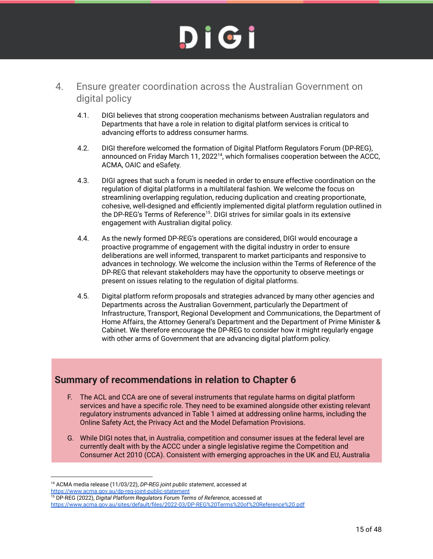- 4. Ensure greater coordination across the Australian Government on digital policy
	- 4.1. DIGI believes that strong cooperation mechanisms between Australian regulators and Departments that have a role in relation to digital platform services is critical to advancing efforts to address consumer harms.
	- 4.2. DIGI therefore welcomed the formation of Digital Platform Regulators Forum (DP-REG), announced on Friday March 11, 202 $2^{14}$ , which formalises cooperation between the ACCC, ACMA, OAIC and eSafety.
	- 4.3. DIGI agrees that such a forum is needed in order to ensure effective coordination on the regulation of digital platforms in a multilateral fashion. We welcome the focus on streamlining overlapping regulation, reducing duplication and creating proportionate, cohesive, well-designed and efficiently implemented digital platform regulation outlined in the DP-REG's Terms of Reference<sup>15</sup>. DIGI strives for similar goals in its extensive engagement with Australian digital policy.
	- 4.4. As the newly formed DP-REG's operations are considered, DIGI would encourage a proactive programme of engagement with the digital industry in order to ensure deliberations are well informed, transparent to market participants and responsive to advances in technology. We welcome the inclusion within the Terms of Reference of the DP-REG that relevant stakeholders may have the opportunity to observe meetings or present on issues relating to the regulation of digital platforms.
	- 4.5. Digital platform reform proposals and strategies advanced by many other agencies and Departments across the Australian Government, particularly the Department of Infrastructure, Transport, Regional Development and Communications, the Department of Home Affairs, the Attorney General's Department and the Department of Prime Minister & Cabinet. We therefore encourage the DP-REG to consider how it might regularly engage with other arms of Government that are advancing digital platform policy.

#### **Summary of recommendations in relation to Chapter 6**

- F. The ACL and CCA are one of several instruments that regulate harms on digital platform services and have a specific role. They need to be examined alongside other existing relevant regulatory instruments advanced in Table 1 aimed at addressing online harms, including the Online Safety Act, the Privacy Act and the Model Defamation Provisions.
- G. While DIGI notes that, in Australia, competition and consumer issues at the federal level are currently dealt with by the ACCC under a single legislative regime the Competition and Consumer Act 2010 (CCA). Consistent with emerging approaches in the UK and EU, Australia

<sup>14</sup> ACMA media release (11/03/22), *DP-REG joint public statement*, accessed at https://www.acma.gov.au/dp-reg-joint-public-statement

<sup>15</sup> DP-REG (2022), *Digital Platform Regulators Forum Terms of Reference*, accessed at https://www.acma.gov.au/sites/default/files/2022-03/DP-REG%20Terms%20of%20Reference%20.pdf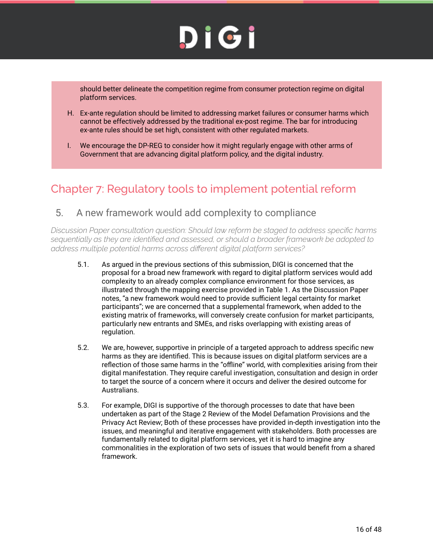should better delineate the competition regime from consumer protection regime on digital platform services.

- H. Ex-ante regulation should be limited to addressing market failures or consumer harms which cannot be effectively addressed by the traditional ex-post regime. The bar for introducing ex-ante rules should be set high, consistent with other regulated markets.
- I. We encourage the DP-REG to consider how it might regularly engage with other arms of Government that are advancing digital platform policy, and the digital industry.

#### Chapter 7: Regulatory tools to implement potential reform

#### 5. A new framework would add complexity to compliance

*Discussion Paper consultation question: Should law reform be staged to address specific harms sequentially as they are identified and assessed, or should a broader framework be adopted to address multiple potential harms across different digital platform services?*

- 5.1. As argued in the previous sections of this submission, DIGI is concerned that the proposal for a broad new framework with regard to digital platform services would add complexity to an already complex compliance environment for those services, as illustrated through the mapping exercise provided in Table 1. As the Discussion Paper notes, "a new framework would need to provide sufficient legal certainty for market participants"; we are concerned that a supplemental framework, when added to the existing matrix of frameworks, will conversely create confusion for market participants, particularly new entrants and SMEs, and risks overlapping with existing areas of regulation.
- 5.2. We are, however, supportive in principle of a targeted approach to address specific new harms as they are identified. This is because issues on digital platform services are a reflection of those same harms in the "offline" world, with complexities arising from their digital manifestation. They require careful investigation, consultation and design in order to target the source of a concern where it occurs and deliver the desired outcome for Australians.
- 5.3. For example, DIGI is supportive of the thorough processes to date that have been undertaken as part of the Stage 2 Review of the Model Defamation Provisions and the Privacy Act Review; Both of these processes have provided in-depth investigation into the issues, and meaningful and iterative engagement with stakeholders. Both processes are fundamentally related to digital platform services, yet it is hard to imagine any commonalities in the exploration of two sets of issues that would benefit from a shared framework.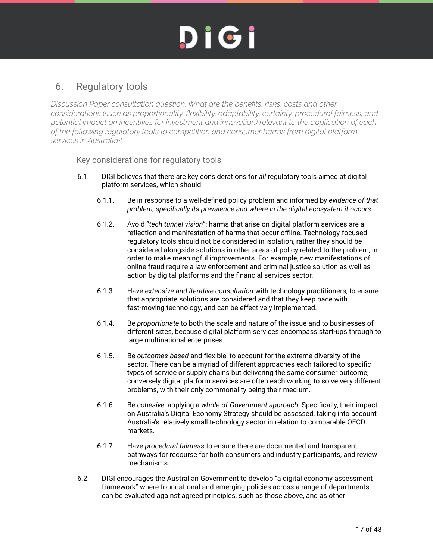#### 6. Regulatory tools

*Discussion Paper consultation question: What are the benefits, risks, costs and other considerations (such as proportionality, flexibility, adaptability, certainty, procedural fairness, and potential impact on incentives for investment and innovation) relevant to the application of each of the following regulatory tools to competition and consumer harms from digital platform services in Australia?*

Key considerations for regulatory tools

- 6.1. DIGI believes that there are key considerations for *all* regulatory tools aimed at digital platform services, which should:
	- 6.1.1. Be in response to a well-defined policy problem and informed by *evidence of that problem, specifically its prevalence and where in the digital ecosystem it occurs*.
	- 6.1.2. Avoid "*tech tunnel vision*"; harms that arise on digital platform services are a reflection and manifestation of harms that occur offline. Technology-focused regulatory tools should not be considered in isolation, rather they should be considered alongside solutions in other areas of policy related to the problem, in order to make meaningful improvements. For example, new manifestations of online fraud require a law enforcement and criminal justice solution as well as action by digital platforms and the financial services sector.
	- 6.1.3. Have *extensive and iterative consultation* with technology practitioners, to ensure that appropriate solutions are considered and that they keep pace with fast-moving technology, and can be effectively implemented.
	- 6.1.4. Be *proportionate* to both the scale and nature of the issue and to businesses of different sizes, because digital platform services encompass start-ups through to large multinational enterprises.
	- 6.1.5. Be *outcomes-based* and flexible, to account for the extreme diversity of the sector. There can be a myriad of different approaches each tailored to specific types of service or supply chains but delivering the same consumer outcome; conversely digital platform services are often each working to solve very different problems, with their only commonality being their medium.
	- 6.1.6. Be *cohesive*, applying a *whole-of-Government approach.* Specifically, their impact on Australia's Digital Economy Strategy should be assessed, taking into account Australia's relatively small technology sector in relation to comparable OECD markets.
	- 6.1.7. Have *procedural fairness* to ensure there are documented and transparent pathways for recourse for both consumers and industry participants, and review mechanisms.
- 6.2. DIGI encourages the Australian Government to develop "a digital economy assessment framework" where foundational and emerging policies across a range of departments can be evaluated against agreed principles, such as those above, and as other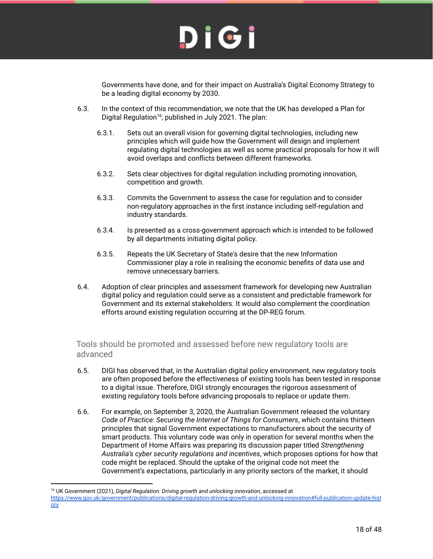Governments have done, and for their impact on Australia's Digital Economy Strategy to be a leading digital economy by 2030.

- 6.3. In the context of this recommendation, we note that the UK has developed a Plan for Digital Regulation<sup>16</sup>, published in July 2021. The plan:
	- 6.3.1. Sets out an overall vision for governing digital technologies, including new principles which will guide how the Government will design and implement regulating digital technologies as well as some practical proposals for how it will avoid overlaps and conflicts between different frameworks.
	- 6.3.2. Sets clear objectives for digital regulation including promoting innovation, competition and growth.
	- 6.3.3. Commits the Government to assess the case for regulation and to consider non-regulatory approaches in the first instance including self-regulation and industry standards.
	- 6.3.4. Is presented as a cross-government approach which is intended to be followed by all departments initiating digital policy.
	- 6.3.5. Repeats the UK Secretary of State's desire that the new Information Commissioner play a role in realising the economic benefits of data use and remove unnecessary barriers.
- 6.4. Adoption of clear principles and assessment framework for developing new Australian digital policy and regulation could serve as a consistent and predictable framework for Government and its external stakeholders. It would also complement the coordination efforts around existing regulation occurring at the DP-REG forum.

Tools should be promoted and assessed before new regulatory tools are advanced

- 6.5. DIGI has observed that, in the Australian digital policy environment, new regulatory tools are often proposed before the effectiveness of existing tools has been tested in response to a digital issue. Therefore, DIGI strongly encourages the rigorous assessment of existing regulatory tools before advancing proposals to replace or update them.
- 6.6. For example, on September 3, 2020, the Australian Government released the voluntary *Code of Practice: Securing the Internet of Things for Consumers*, which contains thirteen principles that signal Government expectations to manufacturers about the security of smart products. This voluntary code was only in operation for several months when the Department of Home Affairs was preparing its discussion paper titled *Strengthening Australia's cyber security regulations and incentives*, which proposes options for how that code might be replaced. Should the uptake of the original code not meet the Government's expectations, particularly in any priority sectors of the market, it should

<sup>16</sup> UK Government (2021), *Digital Regulation: Driving growth and unlocking innovation*, accessed at

https://www.gov.uk/government/publications/digital-regulation-driving-growth-and-unlocking-innovation#full-publication-update-hist ory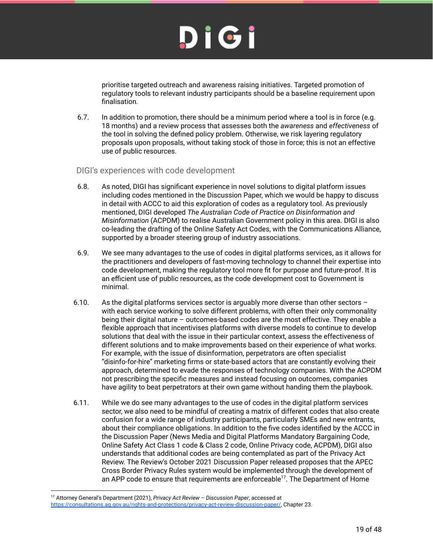## DIGI

prioritise targeted outreach and awareness raising initiatives. Targeted promotion of regulatory tools to relevant industry participants should be a baseline requirement upon finalisation.

- 6.7. In addition to promotion, there should be a minimum period where a tool is in force (e.g. 18 months) and a review process that assesses both the *awareness* and *effectiveness* of the tool in solving the defined policy problem. Otherwise, we risk layering regulatory proposals upon proposals, without taking stock of those in force; this is not an effective use of public resources.
- DIGI's experiences with code development
- 6.8. As noted, DIGI has significant experience in novel solutions to digital platform issues including codes mentioned in the Discussion Paper, which we would be happy to discuss in detail with ACCC to aid this exploration of codes as a regulatory tool. As previously mentioned, DIGI developed *The Australian Code of Practice on Disinformation and Misinformation* (ACPDM) to realise Australian Government policy in this area. DIGI is also co-leading the drafting of the Online Safety Act Codes, with the Communications Alliance, supported by a broader steering group of industry associations.
- 6.9. We see many advantages to the use of codes in digital platforms services, as it allows for the practitioners and developers of fast-moving technology to channel their expertise into code development, making the regulatory tool more fit for purpose and future-proof. It is an efficient use of public resources, as the code development cost to Government is minimal.
- 6.10. As the digital platforms services sector is arguably more diverse than other sectors  $$ with each service working to solve different problems, with often their only commonality being their digital nature – outcomes-based codes are the most effective. They enable a flexible approach that incentivises platforms with diverse models to continue to develop solutions that deal with the issue in their particular context, assess the effectiveness of different solutions and to make improvements based on their experience of what works. For example, with the issue of disinformation, perpetrators are often specialist "disinfo-for-hire" marketing firms or state-based actors that are constantly evolving their approach, determined to evade the responses of technology companies. With the ACPDM not prescribing the specific measures and instead focusing on outcomes, companies have agility to beat perpetrators at their own game without handing them the playbook.
- 6.11. While we do see many advantages to the use of codes in the digital platform services sector, we also need to be mindful of creating a matrix of different codes that also create confusion for a wide range of industry participants, particularly SMEs and new entrants, about their compliance obligations. In addition to the five codes identified by the ACCC in the Discussion Paper (News Media and Digital Platforms Mandatory Bargaining Code, Online Safety Act Class 1 code & Class 2 code, Online Privacy code, ACPDM), DIGI also understands that additional codes are being contemplated as part of the Privacy Act Review. The Review's October 2021 Discussion Paper released proposes that the APEC Cross Border Privacy Rules system would be implemented through the development of an APP code to ensure that requirements are enforceable<sup>17</sup>. The Department of Home

<sup>17</sup> Attorney General's Department (2021), *Privacy Act Review – Discussion Paper*, accessed at https://consultations.ag.gov.au/rights-and-protections/privacy-act-review-discussion-paper/, Chapter 23.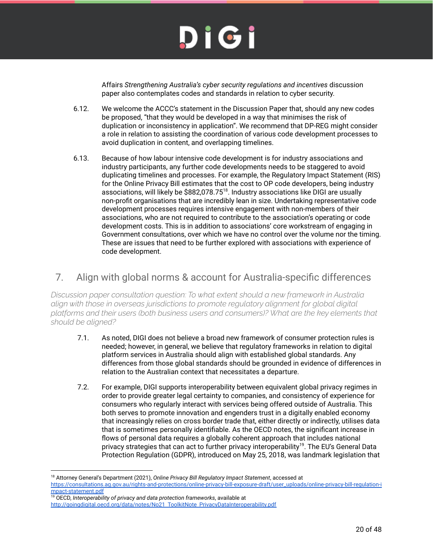Affairs *Strengthening Australia's cyber security regulations and incentives* discussion paper also contemplates codes and standards in relation to cyber security.

- 6.12. We welcome the ACCC's statement in the Discussion Paper that, should any new codes be proposed, "that they would be developed in a way that minimises the risk of duplication or inconsistency in application". We recommend that DP-REG might consider a role in relation to assisting the coordination of various code development processes to avoid duplication in content, and overlapping timelines.
- 6.13. Because of how labour intensive code development is for industry associations and industry participants, any further code developments needs to be staggered to avoid duplicating timelines and processes. For example, the Regulatory Impact Statement (RIS) for the Online Privacy Bill estimates that the cost to OP code developers, being industry associations, will likely be \$882,078.75<sup>18</sup>. Industry associations like DIGI are usually non-profit organisations that are incredibly lean in size. Undertaking representative code development processes requires intensive engagement with non-members of their associations, who are not required to contribute to the association's operating or code development costs. This is in addition to associations' core workstream of engaging in Government consultations, over which we have no control over the volume nor the timing. These are issues that need to be further explored with associations with experience of code development.

#### 7. Align with global norms & account for Australia-specific differences

*Discussion paper consultation question: To what extent should a new framework in Australia align with those in overseas jurisdictions to promote regulatory alignment for global digital platforms and their users (both business users and consumers)? What are the key elements that should be aligned?*

- 7.1. As noted, DIGI does not believe a broad new framework of consumer protection rules is needed; however, in general, we believe that regulatory frameworks in relation to digital platform services in Australia should align with established global standards. Any differences from those global standards should be grounded in evidence of differences in relation to the Australian context that necessitates a departure.
- 7.2. For example, DIGI supports interoperability between equivalent global privacy regimes in order to provide greater legal certainty to companies, and consistency of experience for consumers who regularly interact with services being offered outside of Australia. This both serves to promote innovation and engenders trust in a digitally enabled economy that increasingly relies on cross border trade that, either directly or indirectly, utilises data that is sometimes personally identifiable. As the OECD notes, the significant increase in flows of personal data requires a globally coherent approach that includes national privacy strategies that can act to further privacy interoperability<sup>19</sup>. The EU's General Data Protection Regulation (GDPR), introduced on May 25, 2018, was landmark legislation that

<sup>18</sup> Attorney General's Department (2021), *Online Privacy Bill Regulatory Impact Statement*, accessed at https://consultations.ag.gov.au/rights-and-protections/online-privacy-bill-exposure-draft/user\_uploads/online-privacy-bill-regulation-i mpact-statement.pdf

<sup>19</sup> OECD, *Interoperability of privacy and data protection frameworks*, available at http://goingdigital.oecd.org/data/notes/No21 ToolkitNote PrivacyDataInteroperability.pdf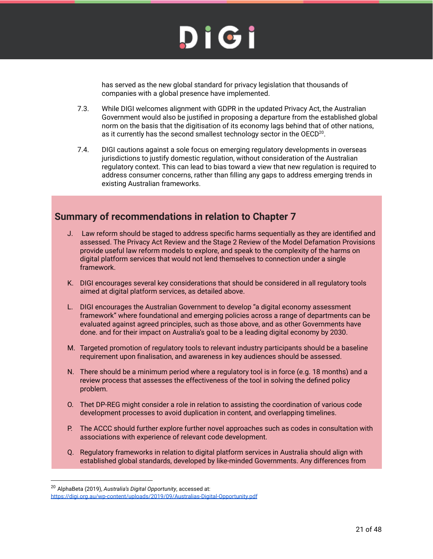

has served as the new global standard for privacy legislation that thousands of companies with a global presence have implemented.

- 7.3. While DIGI welcomes alignment with GDPR in the updated Privacy Act, the Australian Government would also be justified in proposing a departure from the established global norm on the basis that the digitisation of its economy lags behind that of other nations, as it currently has the second smallest technology sector in the OECD $^{20}$ .
- 7.4. DIGI cautions against a sole focus on emerging regulatory developments in overseas jurisdictions to justify domestic regulation, without consideration of the Australian regulatory context. This can lead to bias toward a view that new regulation is required to address consumer concerns, rather than filling any gaps to address emerging trends in existing Australian frameworks.

#### **Summary of recommendations in relation to Chapter 7**

- J. Law reform should be staged to address specific harms sequentially as they are identified and assessed. The Privacy Act Review and the Stage 2 Review of the Model Defamation Provisions provide useful law reform models to explore, and speak to the complexity of the harms on digital platform services that would not lend themselves to connection under a single framework.
- K. DIGI encourages several key considerations that should be considered in all regulatory tools aimed at digital platform services, as detailed above.
- L. DIGI encourages the Australian Government to develop "a digital economy assessment framework" where foundational and emerging policies across a range of departments can be evaluated against agreed principles, such as those above, and as other Governments have done. and for their impact on Australia's goal to be a leading digital economy by 2030.
- M. Targeted promotion of regulatory tools to relevant industry participants should be a baseline requirement upon finalisation, and awareness in key audiences should be assessed.
- N. There should be a minimum period where a regulatory tool is in force (e.g. 18 months) and a review process that assesses the effectiveness of the tool in solving the defined policy problem.
- O. Thet DP-REG might consider a role in relation to assisting the coordination of various code development processes to avoid duplication in content, and overlapping timelines.
- P. The ACCC should further explore further novel approaches such as codes in consultation with associations with experience of relevant code development.
- Q. Regulatory frameworks in relation to digital platform services in Australia should align with established global standards, developed by like-minded Governments. Any differences from

<sup>20</sup> AlphaBeta (2019), *Australia's Digital Opportunity*, accessed at: https://digi.org.au/wp-content/uploads/2019/09/Australias-Digital-Opportunity.pdf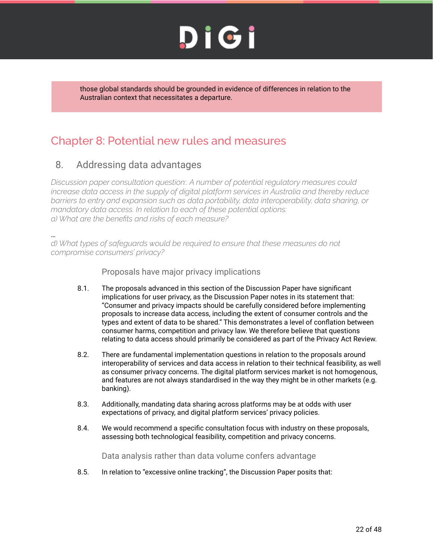those global standards should be grounded in evidence of differences in relation to the Australian context that necessitates a departure.

#### Chapter 8: Potential new rules and measures

#### 8. Addressing data advantages

*Discussion paper consultation question:. A number of potential regulatory measures could increase data access in the supply of digital platform services in Australia and thereby reduce barriers to entry and expansion such as data portability, data interoperability, data sharing, or mandatory data access. In relation to each of these potential options: a) What are the benefits and risks of each measure?*

… *d) What types of safeguards would be required to ensure that these measures do not compromise consumers' privacy?*

Proposals have major privacy implications

- 8.1. The proposals advanced in this section of the Discussion Paper have significant implications for user privacy, as the Discussion Paper notes in its statement that: "Consumer and privacy impacts should be carefully considered before implementing proposals to increase data access, including the extent of consumer controls and the types and extent of data to be shared." This demonstrates a level of conflation between consumer harms, competition and privacy law. We therefore believe that questions relating to data access should primarily be considered as part of the Privacy Act Review.
- 8.2. There are fundamental implementation questions in relation to the proposals around interoperability of services and data access in relation to their technical feasibility, as well as consumer privacy concerns. The digital platform services market is not homogenous, and features are not always standardised in the way they might be in other markets (e.g. banking).
- 8.3. Additionally, mandating data sharing across platforms may be at odds with user expectations of privacy, and digital platform services' privacy policies.
- 8.4. We would recommend a specific consultation focus with industry on these proposals, assessing both technological feasibility, competition and privacy concerns.

Data analysis rather than data volume confers advantage

8.5. In relation to "excessive online tracking", the Discussion Paper posits that: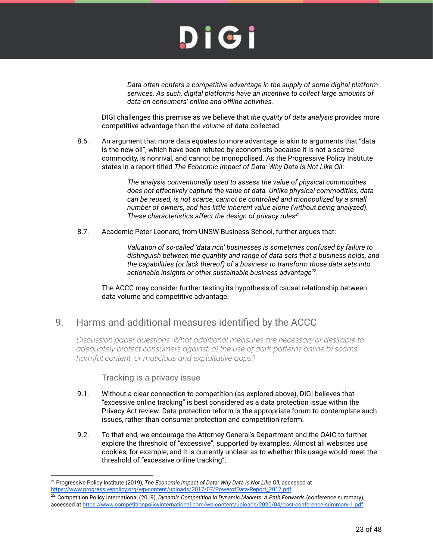*Data often confers a competitive advantage in the supply of some digital platform services. As such, digital platforms have an incentive to collect large amounts of data on consumers' online and offline activities.*

DIGI challenges this premise as we believe that *the quality of data analysis* provides more competitive advantage than the *volume* of data collected.

8.6. An argument that more data equates to more advantage is akin to arguments that "data is the new oil", which have been refuted by economists because it is not a scarce commodity, is nonrival, and cannot be monopolised. As the Progressive Policy Institute states in a report titled *The Economic Impact of Data: Why Data Is Not Like Oil*:

> *The analysis conventionally used to assess the value of physical commodities does not effectively capture the value of data. Unlike physical commodities, data can be reused, is not scarce, cannot be controlled and monopolized by a small number of owners, and has little inherent value alone (without being analyzed). These characteristics affect the design of privacy rules<sup>21</sup> .*

8.7. Academic Peter Leonard, from UNSW Business School, further argues that:

*Valuation of so-called 'data rich' businesses is sometimes confused by failure to distinguish between the quantity and range of data sets that a business holds, and the capabilities (or lack thereof) of a business to transform those data sets into actionable insights or other sustainable business advantage<sup>22</sup> .*

The ACCC may consider further testing its hypothesis of causal relationship between data volume and competitive advantage.

#### 9. Harms and additional measures identified by the ACCC

*Discussion paper questions: What additional measures are necessary or desirable to adequately protect consumers against: a) the use of dark patterns online b) scams, harmful content, or malicious and exploitative apps?*

Tracking is a privacy issue

- 9.1. Without a clear connection to competition (as explored above), DIGI believes that "excessive online tracking" is best considered as a data protection issue within the Privacy Act review. Data protection reform is the appropriate forum to contemplate such issues, rather than consumer protection and competition reform.
- 9.2. To that end, we encourage the Attorney General's Department and the OAIC to further explore the threshold of "excessive", supported by examples. Almost all websites use cookies, for example, and it is currently unclear as to whether this usage would meet the threshold of "excessive online tracking".

<sup>21</sup> Progressive Policy Institute (2019), *The Economic Impact of Data: Why Data Is Not Like Oil*, accessed at https://www.progressivepolicy.org/wp-content/uploads/2017/07/PowerofData-Report\_2017.pdf

<sup>22</sup> Competition Policy International (2019), *Dynamic Competition In Dynamic Markets: A Path Forwards* (conference summary), accessed at https://www.competitionpolicyinternational.com/wp-content/uploads/2020/04/post-conference-summary-1.pdf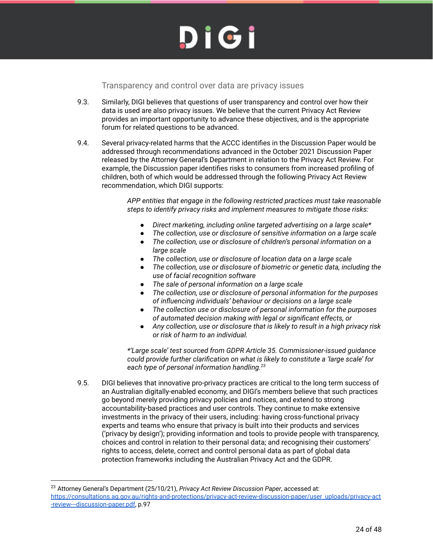Transparency and control over data are privacy issues

- 9.3. Similarly, DIGI believes that questions of user transparency and control over how their data is used are also privacy issues. We believe that the current Privacy Act Review provides an important opportunity to advance these objectives, and is the appropriate forum for related questions to be advanced.
- 9.4. Several privacy-related harms that the ACCC identifies in the Discussion Paper would be addressed through recommendations advanced in the October 2021 Discussion Paper released by the Attorney General's Department in relation to the Privacy Act Review. For example, the Discussion paper identifies risks to consumers from increased profiling of children, both of which would be addressed through the following Privacy Act Review recommendation, which DIGI supports:

*APP entities that engage in the following restricted practices must take reasonable steps to identify privacy risks and implement measures to mitigate those risks:*

- *● Direct marketing, including online targeted advertising on a large scale\**
- *● The collection, use or disclosure of sensitive information on a large scale*
- *● The collection, use or disclosure of children's personal information on a large scale*
- *● The collection, use or disclosure of location data on a large scale*
- *● The collection, use or disclosure of biometric or genetic data, including the use of facial recognition software*
- *● The sale of personal information on a large scale*
- *● The collection, use or disclosure of personal information for the purposes of influencing individuals' behaviour or decisions on a large scale*
- *● The collection use or disclosure of personal information for the purposes of automated decision making with legal or significant effects, or*
- *● Any collection, use or disclosure that is likely to result in a high privacy risk or risk of harm to an individual.*

*\*'Large scale' test sourced from GDPR Article 35. Commissioner-issued guidance could provide further clarification on what is likely to constitute a 'large scale' for each type of personal information handling.<sup>23</sup>*

9.5. DIGI believes that innovative pro-privacy practices are critical to the long term success of an Australian digitally-enabled economy, and DIGI's members believe that such practices go beyond merely providing privacy policies and notices, and extend to strong accountability-based practices and user controls. They continue to make extensive investments in the privacy of their users, including: having cross-functional privacy experts and teams who ensure that privacy is built into their products and services ('privacy by design'); providing information and tools to provide people with transparency, choices and control in relation to their personal data; and recognising their customers' rights to access, delete, correct and control personal data as part of global data protection frameworks including the Australian Privacy Act and the GDPR.

<sup>23</sup> Attorney General's Department (25/10/21), *Privacy Act Review Discussion Paper*, accessed at: https://consultations.ag.gov.au/rights-and-protections/privacy-act-review-discussion-paper/user uploads/privacy-act -review---discussion-paper.pdf, p.97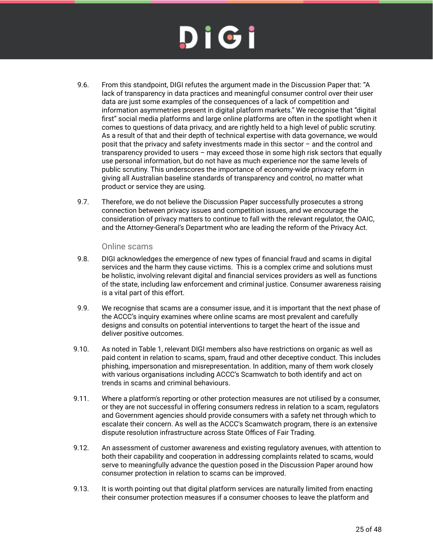# DIGI

- 9.6. From this standpoint, DIGI refutes the argument made in the Discussion Paper that: "A lack of transparency in data practices and meaningful consumer control over their user data are just some examples of the consequences of a lack of competition and information asymmetries present in digital platform markets." We recognise that "digital first" social media platforms and large online platforms are often in the spotlight when it comes to questions of data privacy, and are rightly held to a high level of public scrutiny. As a result of that and their depth of technical expertise with data governance, we would posit that the privacy and safety investments made in this sector – and the control and transparency provided to users – may exceed those in some high risk sectors that equally use personal information, but do not have as much experience nor the same levels of public scrutiny. This underscores the importance of economy-wide privacy reform in giving all Australian baseline standards of transparency and control, no matter what product or service they are using.
- 9.7. Therefore, we do not believe the Discussion Paper successfully prosecutes a strong connection between privacy issues and competition issues, and we encourage the consideration of privacy matters to continue to fall with the relevant regulator, the OAIC, and the Attorney-General's Department who are leading the reform of the Privacy Act.

#### Online scams

- 9.8. DIGI acknowledges the emergence of new types of financial fraud and scams in digital services and the harm they cause victims. This is a complex crime and solutions must be holistic, involving relevant digital and financial services providers as well as functions of the state, including law enforcement and criminal justice. Consumer awareness raising is a vital part of this effort.
- 9.9. We recognise that scams are a consumer issue, and it is important that the next phase of the ACCC's inquiry examines where online scams are most prevalent and carefully designs and consults on potential interventions to target the heart of the issue and deliver positive outcomes.
- 9.10. As noted in Table 1, relevant DIGI members also have restrictions on organic as well as paid content in relation to scams, spam, fraud and other deceptive conduct. This includes phishing, impersonation and misrepresentation. In addition, many of them work closely with various organisations including ACCC's Scamwatch to both identify and act on trends in scams and criminal behaviours.
- 9.11. Where a platform's reporting or other protection measures are not utilised by a consumer, or they are not successful in offering consumers redress in relation to a scam, regulators and Government agencies should provide consumers with a safety net through which to escalate their concern. As well as the ACCC's Scamwatch program, there is an extensive dispute resolution infrastructure across State Offices of Fair Trading.
- 9.12. An assessment of customer awareness and existing regulatory avenues, with attention to both their capability and cooperation in addressing complaints related to scams, would serve to meaningfully advance the question posed in the Discussion Paper around how consumer protection in relation to scams can be improved.
- 9.13. It is worth pointing out that digital platform services are naturally limited from enacting their consumer protection measures if a consumer chooses to leave the platform and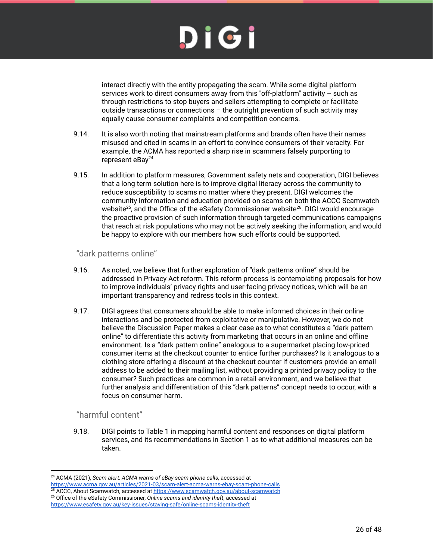interact directly with the entity propagating the scam. While some digital platform services work to direct consumers away from this "off-platform" activity – such as through restrictions to stop buyers and sellers attempting to complete or facilitate outside transactions or connections – the outright prevention of such activity may equally cause consumer complaints and competition concerns.

- 9.14. It is also worth noting that mainstream platforms and brands often have their names misused and cited in scams in an effort to convince consumers of their veracity. For example, the ACMA has reported a sharp rise in scammers falsely purporting to represent eBay<sup>24</sup>
- 9.15. In addition to platform measures, Government safety nets and cooperation, DIGI believes that a long term solution here is to improve digital literacy across the community to reduce susceptibility to scams no matter where they present. DIGI welcomes the community information and education provided on scams on both the ACCC Scamwatch website<sup>25</sup>, and the Office of the eSafety Commissioner website<sup>26</sup>. DIGI would encourage the proactive provision of such information through targeted communications campaigns that reach at risk populations who may not be actively seeking the information, and would be happy to explore with our members how such efforts could be supported.

#### "dark patterns online"

- 9.16. As noted, we believe that further exploration of "dark patterns online" should be addressed in Privacy Act reform. This reform process is contemplating proposals for how to improve individuals' privacy rights and user-facing privacy notices, which will be an important transparency and redress tools in this context.
- 9.17. DIGI agrees that consumers should be able to make informed choices in their online interactions and be protected from exploitative or manipulative. However, we do not believe the Discussion Paper makes a clear case as to what constitutes a "dark pattern online" to differentiate this activity from marketing that occurs in an online and offline environment. Is a "dark pattern online" analogous to a supermarket placing low-priced consumer items at the checkout counter to entice further purchases? Is it analogous to a clothing store offering a discount at the checkout counter if customers provide an email address to be added to their mailing list, without providing a printed privacy policy to the consumer? Such practices are common in a retail environment, and we believe that further analysis and differentiation of this "dark patterns" concept needs to occur, with a focus on consumer harm.

#### "harmful content"

9.18. DIGI points to Table 1 in mapping harmful content and responses on digital platform services, and its recommendations in Section 1 as to what additional measures can be taken.

<sup>24</sup> ACMA (2021), *Scam alert: ACMA warns of eBay scam phone calls*, accessed at

https://www.acma.gov.au/articles/2021-03/scam-alert-acma-warns-ebay-scam-phone-calls

<sup>26</sup> Office of the eSafety Commissioner, *Online scams and identity theft*, accessed at https://www.esafety.gov.au/key-issues/staying-safe/online-scams-identity-theft <sup>25</sup> ACCC, About Scamwatch, accessed at https://www.scamwatch.gov.au/about-scamwatch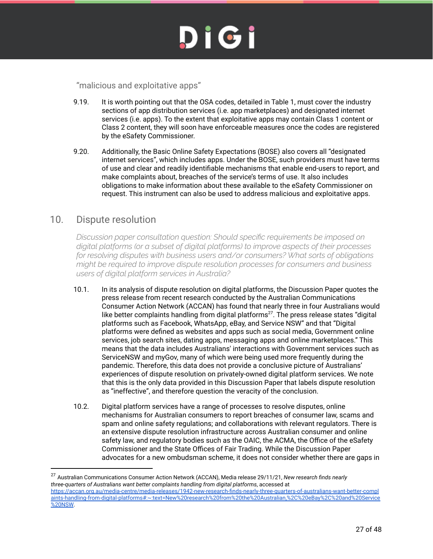## DIGI

"malicious and exploitative apps"

- 9.19. It is worth pointing out that the OSA codes, detailed in Table 1, must cover the industry sections of app distribution services (i.e. app marketplaces) and designated internet services (i.e. apps). To the extent that exploitative apps may contain Class 1 content or Class 2 content, they will soon have enforceable measures once the codes are registered by the eSafety Commissioner.
- 9.20. Additionally, the Basic Online Safety Expectations (BOSE) also covers all "designated internet services", which includes apps. Under the BOSE, such providers must have terms of use and clear and readily identifiable mechanisms that enable end-users to report, and make complaints about, breaches of the service's terms of use. It also includes obligations to make information about these available to the eSafety Commissioner on request. This instrument can also be used to address malicious and exploitative apps.

#### 10. Dispute resolution

*Discussion paper consultation question: Should specific requirements be imposed on digital platforms (or a subset of digital platforms) to improve aspects of their processes for resolving disputes with business users and/or consumers? What sorts of obligations might be required to improve dispute resolution processes for consumers and business users of digital platform services in Australia?*

- 10.1. In its analysis of dispute resolution on digital platforms, the Discussion Paper quotes the press release from recent research conducted by the Australian Communications Consumer Action Network (ACCAN) has found that nearly three in four Australians would like better complaints handling from digital platforms<sup>27</sup>. The press release states "digital platforms such as Facebook, WhatsApp, eBay, and Service NSW" and that "Digital platforms were defined as websites and apps such as social media, Government online services, job search sites, dating apps, messaging apps and online marketplaces." This means that the data includes Australians' interactions with Government services such as ServiceNSW and myGov, many of which were being used more frequently during the pandemic. Therefore, this data does not provide a conclusive picture of Australians' experiences of dispute resolution on privately-owned digital platform services. We note that this is the only data provided in this Discussion Paper that labels dispute resolution as "ineffective", and therefore question the veracity of the conclusion.
- 10.2. Digital platform services have a range of processes to resolve disputes, online mechanisms for Australian consumers to report breaches of consumer law, scams and spam and online safety regulations; and collaborations with relevant regulators. There is an extensive dispute resolution infrastructure across Australian consumer and online safety law, and regulatory bodies such as the OAIC, the ACMA, the Office of the eSafety Commissioner and the State Offices of Fair Trading. While the Discussion Paper advocates for a new ombudsman scheme, it does not consider whether there are gaps in

<sup>27</sup> Australian Communications Consumer Action Network (ACCAN), Media release 29/11/21, *New research finds nearly three-quarters of Australians want better complaints handling from digital platforms*, accessed at https://accan.org.au/media-centre/media-releases/1942-new-research-finds-nearly-three-quarters-of-australians-want-better-compl aints-handling-from-digital-platforms#:~:text=New%20research%20from%20the%20Australian,%2C%20eBay%2C%20and%20Service %20NSW.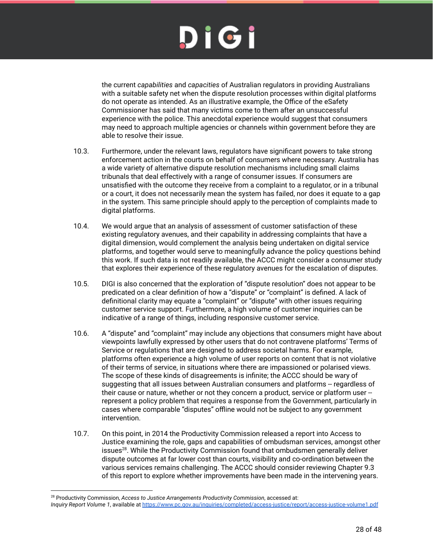the current *capabilities* and *capacities* of Australian regulators in providing Australians with a suitable safety net when the dispute resolution processes within digital platforms do not operate as intended. As an illustrative example, the Office of the eSafety Commissioner has said that many victims come to them after an unsuccessful experience with the police. This anecdotal experience would suggest that consumers may need to approach multiple agencies or channels within government before they are able to resolve their issue.

- 10.3. Furthermore, under the relevant laws, regulators have significant powers to take strong enforcement action in the courts on behalf of consumers where necessary. Australia has a wide variety of alternative dispute resolution mechanisms including small claims tribunals that deal effectively with a range of consumer issues. If consumers are unsatisfied with the outcome they receive from a complaint to a regulator, or in a tribunal or a court, it does not necessarily mean the system has failed, nor does it equate to a gap in the system. This same principle should apply to the perception of complaints made to digital platforms.
- 10.4. We would argue that an analysis of assessment of customer satisfaction of these existing regulatory avenues, and their capability in addressing complaints that have a digital dimension, would complement the analysis being undertaken on digital service platforms, and together would serve to meaningfully advance the policy questions behind this work. If such data is not readily available, the ACCC might consider a consumer study that explores their experience of these regulatory avenues for the escalation of disputes.
- 10.5. DIGI is also concerned that the exploration of "dispute resolution" does not appear to be predicated on a clear definition of how a "dispute" or "complaint" is defined. A lack of definitional clarity may equate a "complaint" or "dispute" with other issues requiring customer service support. Furthermore, a high volume of customer inquiries can be indicative of a range of things, including responsive customer service.
- 10.6. A "dispute" and "complaint" may include any objections that consumers might have about viewpoints lawfully expressed by other users that do not contravene platforms' Terms of Service or regulations that are designed to address societal harms. For example, platforms often experience a high volume of user reports on content that is not violative of their terms of service, in situations where there are impassioned or polarised views. The scope of these kinds of disagreements is infinite; the ACCC should be wary of suggesting that all issues between Australian consumers and platforms -- regardless of their cause or nature, whether or not they concern a product, service or platform user -represent a policy problem that requires a response from the Government, particularly in cases where comparable "disputes" offline would not be subject to any government intervention.
- 10.7. On this point, in 2014 the Productivity Commission released a report into Access to Justice examining the role, gaps and capabilities of ombudsman services, amongst other issues<sup>28</sup>. While the Productivity Commission found that ombudsmen generally deliver dispute outcomes at far lower cost than courts, visibility and co-ordination between the various services remains challenging. The ACCC should consider reviewing Chapter 9.3 of this report to explore whether improvements have been made in the intervening years.

<sup>28</sup> Productivity Commission, *Access to Justice Arrangements Productivity Commission*, accessed at:

*Inquiry Report Volume 1*, available at https://www.pc.gov.au/inquiries/completed/access-justice/report/access-justice-volume1.pdf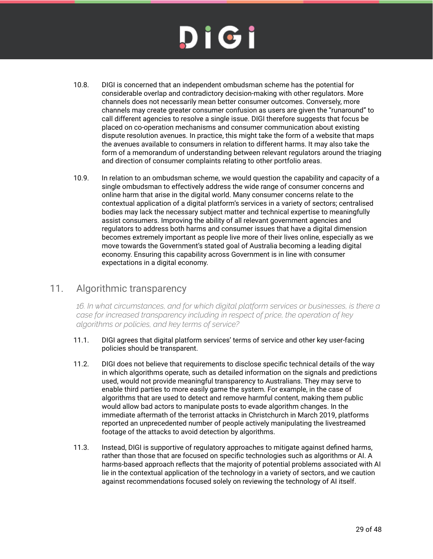- 10.8. DIGI is concerned that an independent ombudsman scheme has the potential for considerable overlap and contradictory decision-making with other regulators. More channels does not necessarily mean better consumer outcomes. Conversely, more channels may create greater consumer confusion as users are given the "runaround" to call different agencies to resolve a single issue. DIGI therefore suggests that focus be placed on co-operation mechanisms and consumer communication about existing dispute resolution avenues. In practice, this might take the form of a website that maps the avenues available to consumers in relation to different harms. It may also take the form of a memorandum of understanding between relevant regulators around the triaging and direction of consumer complaints relating to other portfolio areas.
- 10.9. In relation to an ombudsman scheme, we would question the capability and capacity of a single ombudsman to effectively address the wide range of consumer concerns and online harm that arise in the digital world. Many consumer concerns relate to the contextual application of a digital platform's services in a variety of sectors; centralised bodies may lack the necessary subject matter and technical expertise to meaningfully assist consumers. Improving the ability of all relevant government agencies and regulators to address both harms and consumer issues that have a digital dimension becomes extremely important as people live more of their lives online, especially as we move towards the Government's stated goal of Australia becoming a leading digital economy. Ensuring this capability across Government is in line with consumer expectations in a digital economy.

#### 11. Algorithmic transparency

*16. In what circumstances, and for which digital platform services or businesses, is there a case for increased transparency including in respect of price, the operation of key algorithms or policies, and key terms of service?*

- 11.1. DIGI agrees that digital platform services' terms of service and other key user-facing policies should be transparent.
- 11.2. DIGI does not believe that requirements to disclose specific technical details of the way in which algorithms operate, such as detailed information on the signals and predictions used, would not provide meaningful transparency to Australians. They may serve to enable third parties to more easily game the system. For example, in the case of algorithms that are used to detect and remove harmful content, making them public would allow bad actors to manipulate posts to evade algorithm changes. In the immediate aftermath of the terrorist attacks in Christchurch in March 2019, platforms reported an unprecedented number of people actively manipulating the livestreamed footage of the attacks to avoid detection by algorithms.
- 11.3. Instead, DIGI is supportive of regulatory approaches to mitigate against defined harms, rather than those that are focused on specific technologies such as algorithms or AI. A harms-based approach reflects that the majority of potential problems associated with AI lie in the contextual application of the technology in a variety of sectors, and we caution against recommendations focused solely on reviewing the technology of AI itself.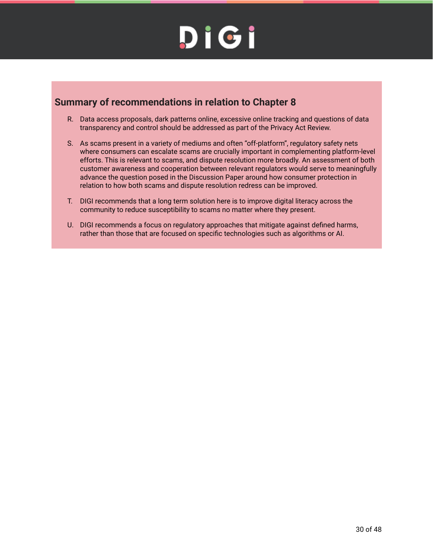#### **Summary of recommendations in relation to Chapter 8**

- R. Data access proposals, dark patterns online, excessive online tracking and questions of data transparency and control should be addressed as part of the Privacy Act Review.
- S. As scams present in a variety of mediums and often "off-platform", regulatory safety nets where consumers can escalate scams are crucially important in complementing platform-level efforts. This is relevant to scams, and dispute resolution more broadly. An assessment of both customer awareness and cooperation between relevant regulators would serve to meaningfully advance the question posed in the Discussion Paper around how consumer protection in relation to how both scams and dispute resolution redress can be improved.
- T. DIGI recommends that a long term solution here is to improve digital literacy across the community to reduce susceptibility to scams no matter where they present.
- U. DIGI recommends a focus on regulatory approaches that mitigate against defined harms, rather than those that are focused on specific technologies such as algorithms or AI.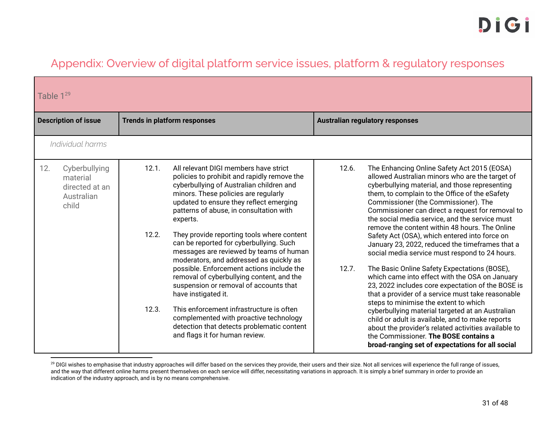#### Appendix: Overview of digital platform service issues, platform & regulatory responses

|     | Table $1^{29}$                                                     |                                     |                                                                                                                                                                                                                                                                                                                                                                                                                                                                                                                                                                                                                                                                                                                                                                                            |                |                                                                                                                                                                                                                                                                                                                                                                                                                                                                                                                                                                                                                                                                                                                                                                                                                                                                                                                                                                                                                                                                            |  |
|-----|--------------------------------------------------------------------|-------------------------------------|--------------------------------------------------------------------------------------------------------------------------------------------------------------------------------------------------------------------------------------------------------------------------------------------------------------------------------------------------------------------------------------------------------------------------------------------------------------------------------------------------------------------------------------------------------------------------------------------------------------------------------------------------------------------------------------------------------------------------------------------------------------------------------------------|----------------|----------------------------------------------------------------------------------------------------------------------------------------------------------------------------------------------------------------------------------------------------------------------------------------------------------------------------------------------------------------------------------------------------------------------------------------------------------------------------------------------------------------------------------------------------------------------------------------------------------------------------------------------------------------------------------------------------------------------------------------------------------------------------------------------------------------------------------------------------------------------------------------------------------------------------------------------------------------------------------------------------------------------------------------------------------------------------|--|
|     | <b>Description of issue</b>                                        | <b>Trends in platform responses</b> |                                                                                                                                                                                                                                                                                                                                                                                                                                                                                                                                                                                                                                                                                                                                                                                            |                | <b>Australian regulatory responses</b>                                                                                                                                                                                                                                                                                                                                                                                                                                                                                                                                                                                                                                                                                                                                                                                                                                                                                                                                                                                                                                     |  |
|     | Individual harms                                                   |                                     |                                                                                                                                                                                                                                                                                                                                                                                                                                                                                                                                                                                                                                                                                                                                                                                            |                |                                                                                                                                                                                                                                                                                                                                                                                                                                                                                                                                                                                                                                                                                                                                                                                                                                                                                                                                                                                                                                                                            |  |
| 12. | Cyberbullying<br>material<br>directed at an<br>Australian<br>child | 12.1.<br>12.2.<br>12.3.             | All relevant DIGI members have strict<br>policies to prohibit and rapidly remove the<br>cyberbullying of Australian children and<br>minors. These policies are regularly<br>updated to ensure they reflect emerging<br>patterns of abuse, in consultation with<br>experts.<br>They provide reporting tools where content<br>can be reported for cyberbullying. Such<br>messages are reviewed by teams of human<br>moderators, and addressed as quickly as<br>possible. Enforcement actions include the<br>removal of cyberbullying content, and the<br>suspension or removal of accounts that<br>have instigated it.<br>This enforcement infrastructure is often<br>complemented with proactive technology<br>detection that detects problematic content<br>and flags it for human review. | 12.6.<br>12.7. | The Enhancing Online Safety Act 2015 (EOSA)<br>allowed Australian minors who are the target of<br>cyberbullying material, and those representing<br>them, to complain to the Office of the eSafety<br>Commissioner (the Commissioner). The<br>Commissioner can direct a request for removal to<br>the social media service, and the service must<br>remove the content within 48 hours. The Online<br>Safety Act (OSA), which entered into force on<br>January 23, 2022, reduced the timeframes that a<br>social media service must respond to 24 hours.<br>The Basic Online Safety Expectations (BOSE),<br>which came into effect with the OSA on January<br>23, 2022 includes core expectation of the BOSE is<br>that a provider of a service must take reasonable<br>steps to minimise the extent to which<br>cyberbullying material targeted at an Australian<br>child or adult is available, and to make reports<br>about the provider's related activities available to<br>the Commissioner. The BOSE contains a<br>broad-ranging set of expectations for all social |  |

<sup>&</sup>lt;sup>29</sup> DIGI wishes to emphasise that industry approaches will differ based on the services they provide, their users and their size. Not all services will experience the full range of issues, and the way that different online harms present themselves on each service will differ, necessitating variations in approach. It is simply a brief summary in order to provide an indication of the industry approach, and is by no means comprehensive.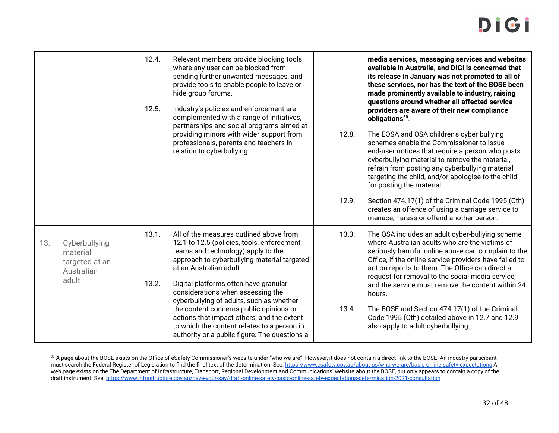|     |                                                                    | 12.4. | Relevant members provide blocking tools<br>where any user can be blocked from                                                                                                                         |       | media services, messaging services and websites<br>available in Australia, and DIGI is concerned that                                                                                                                                                                                                                              |
|-----|--------------------------------------------------------------------|-------|-------------------------------------------------------------------------------------------------------------------------------------------------------------------------------------------------------|-------|------------------------------------------------------------------------------------------------------------------------------------------------------------------------------------------------------------------------------------------------------------------------------------------------------------------------------------|
|     |                                                                    |       | sending further unwanted messages, and<br>provide tools to enable people to leave or<br>hide group forums.                                                                                            |       | its release in January was not promoted to all of<br>these services, nor has the text of the BOSE been<br>made prominently available to industry, raising                                                                                                                                                                          |
|     |                                                                    | 12.5. | Industry's policies and enforcement are<br>complemented with a range of initiatives,<br>partnerships and social programs aimed at                                                                     |       | questions around whether all affected service<br>providers are aware of their new compliance<br>obligations <sup>30</sup> .                                                                                                                                                                                                        |
|     |                                                                    |       | providing minors with wider support from<br>professionals, parents and teachers in<br>relation to cyberbullying.                                                                                      | 12.8. | The EOSA and OSA children's cyber bullying<br>schemes enable the Commissioner to issue<br>end-user notices that require a person who posts<br>cyberbullying material to remove the material,<br>refrain from posting any cyberbullying material<br>targeting the child, and/or apologise to the child<br>for posting the material. |
|     |                                                                    |       |                                                                                                                                                                                                       | 12.9. | Section 474.17(1) of the Criminal Code 1995 (Cth)<br>creates an offence of using a carriage service to<br>menace, harass or offend another person.                                                                                                                                                                                 |
| 13. | Cyberbullying<br>material<br>targeted at an<br>Australian<br>adult | 13.1. | All of the measures outlined above from<br>12.1 to 12.5 (policies, tools, enforcement<br>teams and technology) apply to the<br>approach to cyberbullying material targeted<br>at an Australian adult. | 13.3. | The OSA includes an adult cyber-bullying scheme<br>where Australian adults who are the victims of<br>seriously harmful online abuse can complain to the<br>Office, if the online service providers have failed to<br>act on reports to them. The Office can direct a<br>request for removal to the social media service,           |
|     |                                                                    | 13.2. | Digital platforms often have granular<br>considerations when assessing the<br>cyberbullying of adults, such as whether                                                                                |       | and the service must remove the content within 24<br>hours.                                                                                                                                                                                                                                                                        |
|     |                                                                    |       | the content concerns public opinions or<br>actions that impact others, and the extent<br>to which the content relates to a person in<br>authority or a public figure. The questions a                 | 13.4. | The BOSE and Section 474.17(1) of the Criminal<br>Code 1995 (Cth) detailed above in 12.7 and 12.9<br>also apply to adult cyberbullying.                                                                                                                                                                                            |

<sup>&</sup>lt;sup>30</sup> A page about the BOSE exists on the Office of eSafety Commissioner's website under "who we are". However, it does not contain a direct link to the BOSE. An industry participant must search the Federal Register of Legislation to find the final text of the determination. See: https://www.esafety.gov.au/about-us/who-we-are/basic-online-safety-expectations A web page exists on the The Department of Infrastructure, Transport, Regional Development and Communications' website about the BOSE, but only appears to contain a copy of the draft instrument. See: https://www.infrastructure.gov.au/have-your-say/draft-online-safety-basic-online-safety-expectations-determination-2021-consultation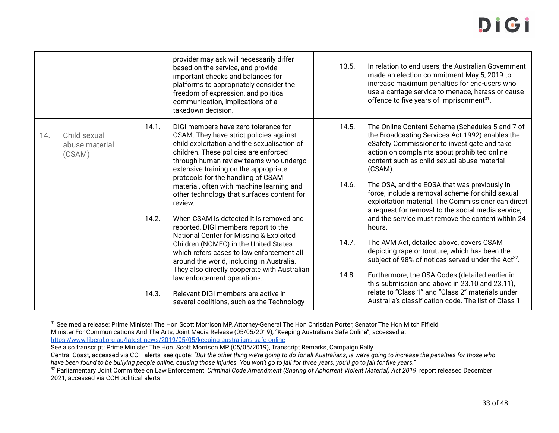### DICT

|     |                                          |       | provider may ask will necessarily differ<br>based on the service, and provide<br>important checks and balances for<br>platforms to appropriately consider the<br>freedom of expression, and political<br>communication, implications of a<br>takedown decision.                                                                                                                                        | 13.5.          | In relation to end users, the Australian Government<br>made an election commitment May 5, 2019 to<br>increase maximum penalties for end-users who<br>use a carriage service to menace, harass or cause<br>offence to five years of imprisonment <sup>31</sup> .                                                                                                                                                                                                              |
|-----|------------------------------------------|-------|--------------------------------------------------------------------------------------------------------------------------------------------------------------------------------------------------------------------------------------------------------------------------------------------------------------------------------------------------------------------------------------------------------|----------------|------------------------------------------------------------------------------------------------------------------------------------------------------------------------------------------------------------------------------------------------------------------------------------------------------------------------------------------------------------------------------------------------------------------------------------------------------------------------------|
| 14. | Child sexual<br>abuse material<br>(CSAM) | 14.1. | DIGI members have zero tolerance for<br>CSAM. They have strict policies against<br>child exploitation and the sexualisation of<br>children. These policies are enforced<br>through human review teams who undergo<br>extensive training on the appropriate<br>protocols for the handling of CSAM<br>material, often with machine learning and<br>other technology that surfaces content for<br>review. | 14.5.<br>14.6. | The Online Content Scheme (Schedules 5 and 7 of<br>the Broadcasting Services Act 1992) enables the<br>eSafety Commissioner to investigate and take<br>action on complaints about prohibited online<br>content such as child sexual abuse material<br>(CSAM).<br>The OSA, and the EOSA that was previously in<br>force, include a removal scheme for child sexual<br>exploitation material. The Commissioner can direct<br>a request for removal to the social media service, |
|     |                                          | 14.2. | When CSAM is detected it is removed and<br>reported, DIGI members report to the<br>National Center for Missing & Exploited<br>Children (NCMEC) in the United States<br>which refers cases to law enforcement all<br>around the world, including in Australia.<br>They also directly cooperate with Australian<br>law enforcement operations.                                                           | 14.7.<br>14.8. | and the service must remove the content within 24<br>hours.<br>The AVM Act, detailed above, covers CSAM<br>depicting rape or toruture, which has been the<br>subject of 98% of notices served under the Act <sup>32</sup> .<br>Furthermore, the OSA Codes (detailed earlier in<br>this submission and above in 23.10 and 23.11),                                                                                                                                             |
|     |                                          | 14.3. | Relevant DIGI members are active in<br>several coalitions, such as the Technology                                                                                                                                                                                                                                                                                                                      |                | relate to "Class 1" and "Class 2" materials under<br>Australia's classification code. The list of Class 1                                                                                                                                                                                                                                                                                                                                                                    |

<sup>31</sup> See media release: Prime Minister The Hon Scott Morrison MP, Attorney-General The Hon Christian Porter, Senator The Hon Mitch Fifield Minister For Communications And The Arts, Joint Media Release (05/05/2019), "Keeping Australians Safe Online", accessed at https://www.liberal.org.au/latest-news/2019/05/05/keeping-australians-safe-online

See also transcript: Prime Minister The Hon. Scott Morrison MP (05/05/2019), Transcript Remarks, Campaign Rally

Central Coast, accessed via CCH alerts, see quote: *"But the other thing we're going to do for all Australians, is we're going to increase the penalties for those who have been found to be bullying people online, causing those injuries. You won't go to jail for three years, you'll go to jail for five years."*

<sup>32</sup> Parliamentary Joint Committee on Law Enforcement, *Criminal Code Amendment (Sharing of Abhorrent Violent Material) Act 2019*, report released December 2021, accessed via CCH political alerts.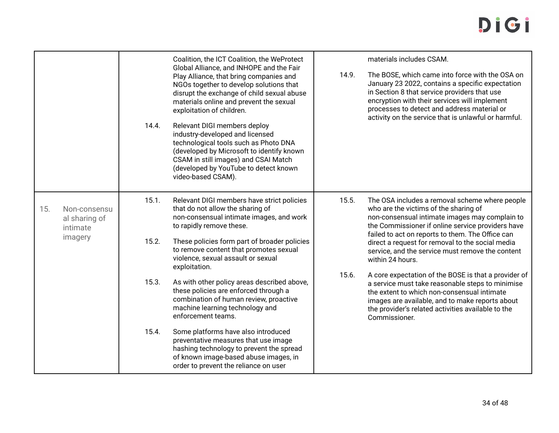|     |                                                      | 14.4.          | Coalition, the ICT Coalition, the WeProtect<br>Global Alliance, and INHOPE and the Fair<br>Play Alliance, that bring companies and<br>NGOs together to develop solutions that<br>disrupt the exchange of child sexual abuse<br>materials online and prevent the sexual<br>exploitation of children.<br>Relevant DIGI members deploy<br>industry-developed and licensed<br>technological tools such as Photo DNA<br>(developed by Microsoft to identify known<br>CSAM in still images) and CSAI Match<br>(developed by YouTube to detect known<br>video-based CSAM). | 14.9.          | materials includes CSAM.<br>The BOSE, which came into force with the OSA on<br>January 23 2022, contains a specific expectation<br>in Section 8 that service providers that use<br>encryption with their services will implement<br>processes to detect and address material or<br>activity on the service that is unlawful or harmful.                                                                                                |
|-----|------------------------------------------------------|----------------|---------------------------------------------------------------------------------------------------------------------------------------------------------------------------------------------------------------------------------------------------------------------------------------------------------------------------------------------------------------------------------------------------------------------------------------------------------------------------------------------------------------------------------------------------------------------|----------------|----------------------------------------------------------------------------------------------------------------------------------------------------------------------------------------------------------------------------------------------------------------------------------------------------------------------------------------------------------------------------------------------------------------------------------------|
| 15. | Non-consensu<br>al sharing of<br>intimate<br>imagery | 15.1.<br>15.2. | Relevant DIGI members have strict policies<br>that do not allow the sharing of<br>non-consensual intimate images, and work<br>to rapidly remove these.<br>These policies form part of broader policies<br>to remove content that promotes sexual<br>violence, sexual assault or sexual<br>exploitation.                                                                                                                                                                                                                                                             | 15.5.<br>15.6. | The OSA includes a removal scheme where people<br>who are the victims of the sharing of<br>non-consensual intimate images may complain to<br>the Commissioner if online service providers have<br>failed to act on reports to them. The Office can<br>direct a request for removal to the social media<br>service, and the service must remove the content<br>within 24 hours.<br>A core expectation of the BOSE is that a provider of |
|     |                                                      | 15.3.          | As with other policy areas described above,<br>these policies are enforced through a<br>combination of human review, proactive<br>machine learning technology and<br>enforcement teams.                                                                                                                                                                                                                                                                                                                                                                             |                | a service must take reasonable steps to minimise<br>the extent to which non-consensual intimate<br>images are available, and to make reports about<br>the provider's related activities available to the<br>Commissioner.                                                                                                                                                                                                              |
|     |                                                      | 15.4.          | Some platforms have also introduced<br>preventative measures that use image<br>hashing technology to prevent the spread<br>of known image-based abuse images, in<br>order to prevent the reliance on user                                                                                                                                                                                                                                                                                                                                                           |                |                                                                                                                                                                                                                                                                                                                                                                                                                                        |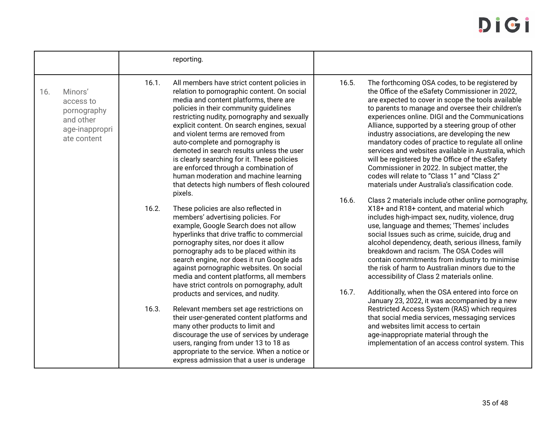|     |                                                                                   |                | reporting.                                                                                                                                                                                                                                                                                                                                                                                                                                                                                                                                                                                                                                                                                                                                                                                       |                |                                                                                                                                                                                                                                                                                                                                                                                                                                                                                                                                                                                                                                                                                                                                                                                                                                                          |
|-----|-----------------------------------------------------------------------------------|----------------|--------------------------------------------------------------------------------------------------------------------------------------------------------------------------------------------------------------------------------------------------------------------------------------------------------------------------------------------------------------------------------------------------------------------------------------------------------------------------------------------------------------------------------------------------------------------------------------------------------------------------------------------------------------------------------------------------------------------------------------------------------------------------------------------------|----------------|----------------------------------------------------------------------------------------------------------------------------------------------------------------------------------------------------------------------------------------------------------------------------------------------------------------------------------------------------------------------------------------------------------------------------------------------------------------------------------------------------------------------------------------------------------------------------------------------------------------------------------------------------------------------------------------------------------------------------------------------------------------------------------------------------------------------------------------------------------|
| 16. | Minors'<br>access to<br>pornography<br>and other<br>age-inappropri<br>ate content | 16.1.          | All members have strict content policies in<br>relation to pornographic content. On social<br>media and content platforms, there are<br>policies in their community guidelines<br>restricting nudity, pornography and sexually<br>explicit content. On search engines, sexual<br>and violent terms are removed from<br>auto-complete and pornography is<br>demoted in search results unless the user<br>is clearly searching for it. These policies<br>are enforced through a combination of<br>human moderation and machine learning<br>that detects high numbers of flesh coloured<br>pixels.                                                                                                                                                                                                  | 16.5.          | The forthcoming OSA codes, to be registered by<br>the Office of the eSafety Commissioner in 2022,<br>are expected to cover in scope the tools available<br>to parents to manage and oversee their children's<br>experiences online. DIGI and the Communications<br>Alliance, supported by a steering group of other<br>industry associations, are developing the new<br>mandatory codes of practice to regulate all online<br>services and websites available in Australia, which<br>will be registered by the Office of the eSafety<br>Commissioner in 2022. In subject matter, the<br>codes will relate to "Class 1" and "Class 2"<br>materials under Australia's classification code.                                                                                                                                                                 |
|     |                                                                                   | 16.2.<br>16.3. | These policies are also reflected in<br>members' advertising policies. For<br>example, Google Search does not allow<br>hyperlinks that drive traffic to commercial<br>pornography sites, nor does it allow<br>pornography ads to be placed within its<br>search engine, nor does it run Google ads<br>against pornographic websites. On social<br>media and content platforms, all members<br>have strict controls on pornography, adult<br>products and services, and nudity.<br>Relevant members set age restrictions on<br>their user-generated content platforms and<br>many other products to limit and<br>discourage the use of services by underage<br>users, ranging from under 13 to 18 as<br>appropriate to the service. When a notice or<br>express admission that a user is underage | 16.6.<br>16.7. | Class 2 materials include other online pornography,<br>X18+ and R18+ content, and material which<br>includes high-impact sex, nudity, violence, drug<br>use, language and themes; 'Themes' includes<br>social Issues such as crime, suicide, drug and<br>alcohol dependency, death, serious illness, family<br>breakdown and racism. The OSA Codes will<br>contain commitments from industry to minimise<br>the risk of harm to Australian minors due to the<br>accessibility of Class 2 materials online.<br>Additionally, when the OSA entered into force on<br>January 23, 2022, it was accompanied by a new<br>Restricted Access System (RAS) which requires<br>that social media services, messaging services<br>and websites limit access to certain<br>age-inappropriate material through the<br>implementation of an access control system. This |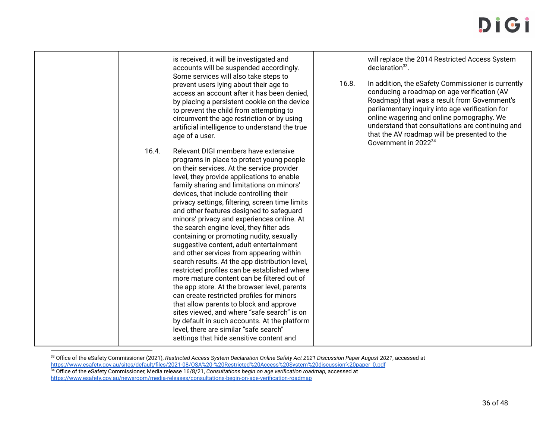| is received, it will be investigated and<br>accounts will be suspended accordingly.<br>Some services will also take steps to<br>prevent users lying about their age to<br>access an account after it has been denied.<br>by placing a persistent cookie on the device<br>to prevent the child from attempting to<br>circumvent the age restriction or by using<br>artificial intelligence to understand the true<br>age of a user.                                                                                                                                                                                                                                                                                                                                                                                                                                                                                                                                                                                                                                                      | will replace the 2014 Restricted Access System<br>$declaration33$ .<br>16.8.<br>In addition, the eSafety Commissioner is currently<br>conducing a roadmap on age verification (AV<br>Roadmap) that was a result from Government's<br>parliamentary inquiry into age verification for<br>online wagering and online pornography. We<br>understand that consultations are continuing and<br>that the AV roadmap will be presented to the<br>Government in 2022 <sup>34</sup> |
|-----------------------------------------------------------------------------------------------------------------------------------------------------------------------------------------------------------------------------------------------------------------------------------------------------------------------------------------------------------------------------------------------------------------------------------------------------------------------------------------------------------------------------------------------------------------------------------------------------------------------------------------------------------------------------------------------------------------------------------------------------------------------------------------------------------------------------------------------------------------------------------------------------------------------------------------------------------------------------------------------------------------------------------------------------------------------------------------|----------------------------------------------------------------------------------------------------------------------------------------------------------------------------------------------------------------------------------------------------------------------------------------------------------------------------------------------------------------------------------------------------------------------------------------------------------------------------|
| Relevant DIGI members have extensive<br>16.4.<br>programs in place to protect young people<br>on their services. At the service provider<br>level, they provide applications to enable<br>family sharing and limitations on minors'<br>devices, that include controlling their<br>privacy settings, filtering, screen time limits<br>and other features designed to safeguard<br>minors' privacy and experiences online. At<br>the search engine level, they filter ads<br>containing or promoting nudity, sexually<br>suggestive content, adult entertainment<br>and other services from appearing within<br>search results. At the app distribution level,<br>restricted profiles can be established where<br>more mature content can be filtered out of<br>the app store. At the browser level, parents<br>can create restricted profiles for minors<br>that allow parents to block and approve<br>sites viewed, and where "safe search" is on<br>by default in such accounts. At the platform<br>level, there are similar "safe search"<br>settings that hide sensitive content and |                                                                                                                                                                                                                                                                                                                                                                                                                                                                            |

<sup>33</sup> Office of the eSafety Commissioner (2021), *Restricted Access System Declaration Online Safety Act 2021 Discussion Paper August 2021*, accessed at https://www.esafety.gov.au/sites/default/files/2021-08/OSA%20-%20Restricted%20Access%20System%20discussion%20paper 0.pdf

<sup>34</sup> Office of the eSafety Commissioner, Media release 16/8/21, *Consultations begin on age verification roadmap*, accessed at https://www.esafety.gov.au/newsroom/media-releases/consultations-begin-on-age-verification-roadmap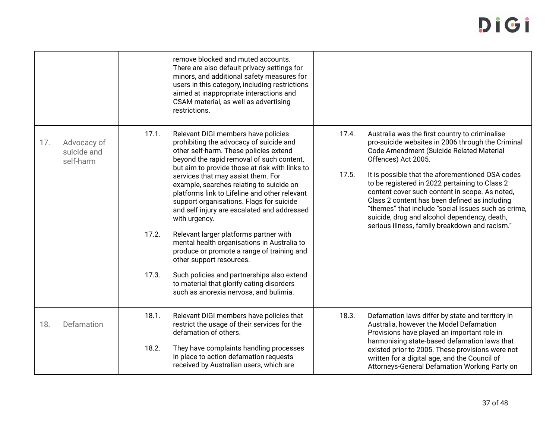|     |                                         |                         | remove blocked and muted accounts.<br>There are also default privacy settings for<br>minors, and additional safety measures for<br>users in this category, including restrictions<br>aimed at inappropriate interactions and<br>CSAM material, as well as advertising<br>restrictions.                                                                                                                                                                                                                                                                                                                                                                                                                                                                                         |                |                                                                                                                                                                                                                                                                                                                                                                                                                                                                                                                                          |
|-----|-----------------------------------------|-------------------------|--------------------------------------------------------------------------------------------------------------------------------------------------------------------------------------------------------------------------------------------------------------------------------------------------------------------------------------------------------------------------------------------------------------------------------------------------------------------------------------------------------------------------------------------------------------------------------------------------------------------------------------------------------------------------------------------------------------------------------------------------------------------------------|----------------|------------------------------------------------------------------------------------------------------------------------------------------------------------------------------------------------------------------------------------------------------------------------------------------------------------------------------------------------------------------------------------------------------------------------------------------------------------------------------------------------------------------------------------------|
| 17. | Advocacy of<br>suicide and<br>self-harm | 17.1.<br>17.2.<br>17.3. | Relevant DIGI members have policies<br>prohibiting the advocacy of suicide and<br>other self-harm. These policies extend<br>beyond the rapid removal of such content,<br>but aim to provide those at risk with links to<br>services that may assist them. For<br>example, searches relating to suicide on<br>platforms link to Lifeline and other relevant<br>support organisations. Flags for suicide<br>and self injury are escalated and addressed<br>with urgency.<br>Relevant larger platforms partner with<br>mental health organisations in Australia to<br>produce or promote a range of training and<br>other support resources.<br>Such policies and partnerships also extend<br>to material that glorify eating disorders<br>such as anorexia nervosa, and bulimia. | 17.4.<br>17.5. | Australia was the first country to criminalise<br>pro-suicide websites in 2006 through the Criminal<br>Code Amendment (Suicide Related Material<br>Offences) Act 2005.<br>It is possible that the aforementioned OSA codes<br>to be registered in 2022 pertaining to Class 2<br>content cover such content in scope. As noted,<br>Class 2 content has been defined as including<br>"themes" that include "social Issues such as crime.<br>suicide, drug and alcohol dependency, death,<br>serious illness, family breakdown and racism." |
| 18. | Defamation                              | 18.1.<br>18.2.          | Relevant DIGI members have policies that<br>restrict the usage of their services for the<br>defamation of others.<br>They have complaints handling processes<br>in place to action defamation requests<br>received by Australian users, which are                                                                                                                                                                                                                                                                                                                                                                                                                                                                                                                              | 18.3.          | Defamation laws differ by state and territory in<br>Australia, however the Model Defamation<br>Provisions have played an important role in<br>harmonising state-based defamation laws that<br>existed prior to 2005. These provisions were not<br>written for a digital age, and the Council of<br>Attorneys-General Defamation Working Party on                                                                                                                                                                                         |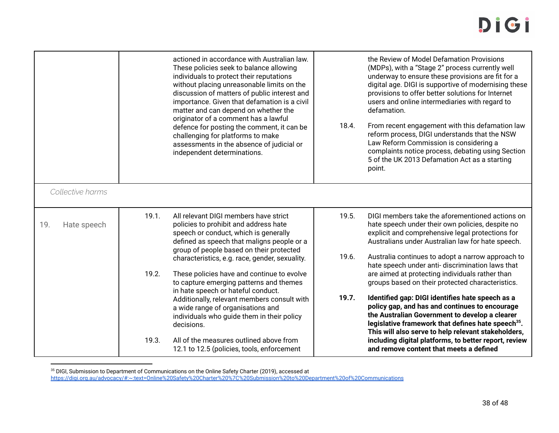|                    |       | actioned in accordance with Australian law.<br>These policies seek to balance allowing<br>individuals to protect their reputations<br>without placing unreasonable limits on the<br>discussion of matters of public interest and<br>importance. Given that defamation is a civil<br>matter and can depend on whether the<br>originator of a comment has a lawful<br>defence for posting the comment, it can be<br>challenging for platforms to make<br>assessments in the absence of judicial or<br>independent determinations. | 18.4.          | the Review of Model Defamation Provisions<br>(MDPs), with a "Stage 2" process currently well<br>underway to ensure these provisions are fit for a<br>digital age. DIGI is supportive of modernising these<br>provisions to offer better solutions for Internet<br>users and online intermediaries with regard to<br>defamation.<br>From recent engagement with this defamation law<br>reform process, DIGI understands that the NSW<br>Law Reform Commission is considering a<br>complaints notice process, debating using Section<br>5 of the UK 2013 Defamation Act as a starting<br>point. |
|--------------------|-------|---------------------------------------------------------------------------------------------------------------------------------------------------------------------------------------------------------------------------------------------------------------------------------------------------------------------------------------------------------------------------------------------------------------------------------------------------------------------------------------------------------------------------------|----------------|-----------------------------------------------------------------------------------------------------------------------------------------------------------------------------------------------------------------------------------------------------------------------------------------------------------------------------------------------------------------------------------------------------------------------------------------------------------------------------------------------------------------------------------------------------------------------------------------------|
| Collective harms   |       |                                                                                                                                                                                                                                                                                                                                                                                                                                                                                                                                 |                |                                                                                                                                                                                                                                                                                                                                                                                                                                                                                                                                                                                               |
| 19.<br>Hate speech | 19.1. | All relevant DIGI members have strict<br>policies to prohibit and address hate<br>speech or conduct, which is generally<br>defined as speech that maligns people or a<br>group of people based on their protected<br>characteristics, e.g. race, gender, sexuality.                                                                                                                                                                                                                                                             | 19.5.<br>19.6. | DIGI members take the aforementioned actions on<br>hate speech under their own policies, despite no<br>explicit and comprehensive legal protections for<br>Australians under Australian law for hate speech.<br>Australia continues to adopt a narrow approach to<br>hate speech under anti- discrimination laws that                                                                                                                                                                                                                                                                         |
|                    | 19.2. | These policies have and continue to evolve<br>to capture emerging patterns and themes<br>in hate speech or hateful conduct.                                                                                                                                                                                                                                                                                                                                                                                                     |                | are aimed at protecting individuals rather than<br>groups based on their protected characteristics.                                                                                                                                                                                                                                                                                                                                                                                                                                                                                           |
|                    |       | Additionally, relevant members consult with<br>a wide range of organisations and<br>individuals who guide them in their policy<br>decisions.                                                                                                                                                                                                                                                                                                                                                                                    | 19.7.          | Identified gap: DIGI identifies hate speech as a<br>policy gap, and has and continues to encourage<br>the Australian Government to develop a clearer<br>legislative framework that defines hate speech <sup>35</sup> .<br>This will also serve to help relevant stakeholders,                                                                                                                                                                                                                                                                                                                 |
|                    | 19.3. | All of the measures outlined above from<br>12.1 to 12.5 (policies, tools, enforcement                                                                                                                                                                                                                                                                                                                                                                                                                                           |                | including digital platforms, to better report, review<br>and remove content that meets a defined                                                                                                                                                                                                                                                                                                                                                                                                                                                                                              |

 $^\mathrm{35}$  DIGI, Submission to Department of Communications on the Online Safety Charter (2019), accessed at

https://digi.org.au/advocacy/#:~:text=Online%20Safety%20Charter%20%7C%20Submission%20to%20Department%20of%20Communications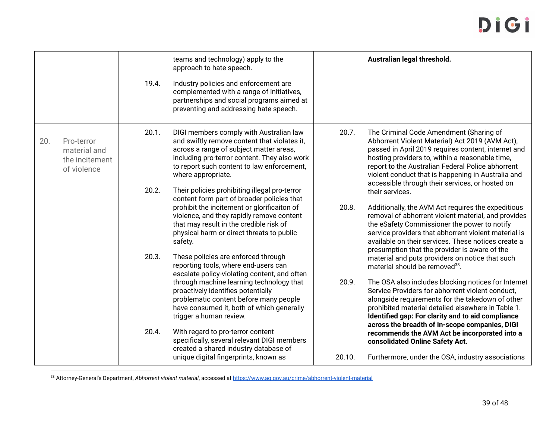|     |                                                             | 19.4.          | teams and technology) apply to the<br>approach to hate speech.<br>Industry policies and enforcement are<br>complemented with a range of initiatives,<br>partnerships and social programs aimed at<br>preventing and addressing hate speech.                                                                                                                                  |        | Australian legal threshold.                                                                                                                                                                                                                                                                                                                                                                                                                                                                                   |
|-----|-------------------------------------------------------------|----------------|------------------------------------------------------------------------------------------------------------------------------------------------------------------------------------------------------------------------------------------------------------------------------------------------------------------------------------------------------------------------------|--------|---------------------------------------------------------------------------------------------------------------------------------------------------------------------------------------------------------------------------------------------------------------------------------------------------------------------------------------------------------------------------------------------------------------------------------------------------------------------------------------------------------------|
| 20. | Pro-terror<br>material and<br>the incitement<br>of violence | 20.1.<br>20.2. | DIGI members comply with Australian law<br>and swiftly remove content that violates it,<br>across a range of subject matter areas,<br>including pro-terror content. They also work<br>to report such content to law enforcement,<br>where appropriate.<br>Their policies prohibiting illegal pro-terror                                                                      | 20.7.  | The Criminal Code Amendment (Sharing of<br>Abhorrent Violent Material) Act 2019 (AVM Act),<br>passed in April 2019 requires content, internet and<br>hosting providers to, within a reasonable time,<br>report to the Australian Federal Police abhorrent<br>violent conduct that is happening in Australia and<br>accessible through their services, or hosted on<br>their services.                                                                                                                         |
|     |                                                             | 20.3.          | content form part of broader policies that<br>prohibit the incitement or glorificaiton of<br>violence, and they rapidly remove content<br>that may result in the credible risk of<br>physical harm or direct threats to public<br>safety.<br>These policies are enforced through                                                                                             | 20.8.  | Additionally, the AVM Act requires the expeditious<br>removal of abhorrent violent material, and provides<br>the eSafety Commissioner the power to notify<br>service providers that abhorrent violent material is<br>available on their services. These notices create a<br>presumption that the provider is aware of the                                                                                                                                                                                     |
|     |                                                             | 20.4.          | reporting tools, where end-users can<br>escalate policy-violating content, and often<br>through machine learning technology that<br>proactively identifies potentially<br>problematic content before many people<br>have consumed it, both of which generally<br>trigger a human review.<br>With regard to pro-terror content<br>specifically, several relevant DIGI members | 20.9.  | material and puts providers on notice that such<br>material should be removed <sup>38</sup> .<br>The OSA also includes blocking notices for Internet<br>Service Providers for abhorrent violent conduct,<br>alongside requirements for the takedown of other<br>prohibited material detailed elsewhere in Table 1.<br>Identified gap: For clarity and to aid compliance<br>across the breadth of in-scope companies, DIGI<br>recommends the AVM Act be incorporated into a<br>consolidated Online Safety Act. |
|     |                                                             |                | created a shared industry database of<br>unique digital fingerprints, known as                                                                                                                                                                                                                                                                                               | 20.10. | Furthermore, under the OSA, industry associations                                                                                                                                                                                                                                                                                                                                                                                                                                                             |

<sup>38</sup> Attorney-General's Department, *Abhorrent violent material*, accessed at https://www.ag.gov.au/crime/abhorrent-violent-material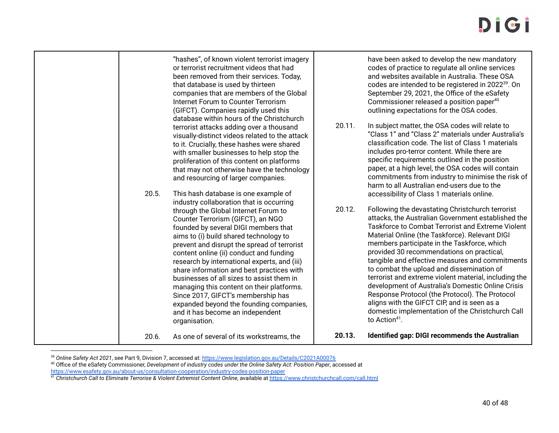| "hashes", of known violent terrorist imagery<br>or terrorist recruitment videos that had<br>been removed from their services. Today,<br>that database is used by thirteen<br>companies that are members of the Global<br>Internet Forum to Counter Terrorism<br>(GIFCT). Companies rapidly used this<br>database within hours of the Christchurch<br>20.11.<br>terrorist attacks adding over a thousand<br>visually-distinct videos related to the attack<br>to it. Crucially, these hashes were shared<br>with smaller businesses to help stop the<br>proliferation of this content on platforms<br>that may not otherwise have the technology<br>and resourcing of larger companies.<br>20.5.<br>This hash database is one example of<br>industry collaboration that is occurring<br>20.12.<br>through the Global Internet Forum to<br>Counter Terrorism (GIFCT), an NGO<br>founded by several DIGI members that<br>aims to (i) build shared technology to<br>prevent and disrupt the spread of terrorist<br>content online (ii) conduct and funding<br>research by international experts, and (iii)<br>share information and best practices with<br>businesses of all sizes to assist them in<br>managing this content on their platforms.<br>Since 2017, GIFCT's membership has<br>expanded beyond the founding companies,<br>and it has become an independent<br>to Action $41$ .<br>organisation. | have been asked to develop the new mandatory<br>codes of practice to regulate all online services<br>and websites available in Australia. These OSA<br>codes are intended to be registered in 2022 <sup>39</sup> . On<br>September 29, 2021, the Office of the eSafety<br>Commissioner released a position paper <sup>40</sup><br>outlining expectations for the OSA codes.<br>In subject matter, the OSA codes will relate to<br>"Class 1" and "Class 2" materials under Australia's<br>classification code. The list of Class 1 materials<br>includes pro-terror content. While there are<br>specific requirements outlined in the position<br>paper, at a high level, the OSA codes will contain<br>commitments from industry to minimise the risk of<br>harm to all Australian end-users due to the<br>accessibility of Class 1 materials online.<br>Following the devastating Christchurch terrorist<br>attacks, the Australian Government established the<br>Taskforce to Combat Terrorist and Extreme Violent<br>Material Online (the Taskforce). Relevant DIGI<br>members participate in the Taskforce, which<br>provided 30 recommendations on practical,<br>tangible and effective measures and commitments<br>to combat the upload and dissemination of<br>terrorist and extreme violent material, including the<br>development of Australia's Domestic Online Crisis<br>Response Protocol (the Protocol). The Protocol<br>aligns with the GIFCT CIP, and is seen as a<br>domestic implementation of the Christchurch Call |
|---------------------------------------------------------------------------------------------------------------------------------------------------------------------------------------------------------------------------------------------------------------------------------------------------------------------------------------------------------------------------------------------------------------------------------------------------------------------------------------------------------------------------------------------------------------------------------------------------------------------------------------------------------------------------------------------------------------------------------------------------------------------------------------------------------------------------------------------------------------------------------------------------------------------------------------------------------------------------------------------------------------------------------------------------------------------------------------------------------------------------------------------------------------------------------------------------------------------------------------------------------------------------------------------------------------------------------------------------------------------------------------------------------|---------------------------------------------------------------------------------------------------------------------------------------------------------------------------------------------------------------------------------------------------------------------------------------------------------------------------------------------------------------------------------------------------------------------------------------------------------------------------------------------------------------------------------------------------------------------------------------------------------------------------------------------------------------------------------------------------------------------------------------------------------------------------------------------------------------------------------------------------------------------------------------------------------------------------------------------------------------------------------------------------------------------------------------------------------------------------------------------------------------------------------------------------------------------------------------------------------------------------------------------------------------------------------------------------------------------------------------------------------------------------------------------------------------------------------------------------------------------------------------------------------------------------------------|
| 20.13.<br>As one of several of its workstreams, the<br>20.6.                                                                                                                                                                                                                                                                                                                                                                                                                                                                                                                                                                                                                                                                                                                                                                                                                                                                                                                                                                                                                                                                                                                                                                                                                                                                                                                                            | Identified gap: DIGI recommends the Australian                                                                                                                                                                                                                                                                                                                                                                                                                                                                                                                                                                                                                                                                                                                                                                                                                                                                                                                                                                                                                                                                                                                                                                                                                                                                                                                                                                                                                                                                                        |

<sup>39</sup> *Online Safety Act 2021*, see Part 9, Division 7, accessed at: https://www.legislation.gov.au/Details/C2021A00076

<sup>40</sup> Office of the eSafety Commissioner, *Development of industry codes under the Online Safety Act: Position Paper*, accessed at

<u>https://www.esafety.gov.au/about-us/consultation-cooperation/industry-codes-position-paper</u><br><sup>41</sup> Christchurch Call to Eliminate Terrorise & Violent Extremist Content Online, available at <u>https://www.christchurchcall.com/</u>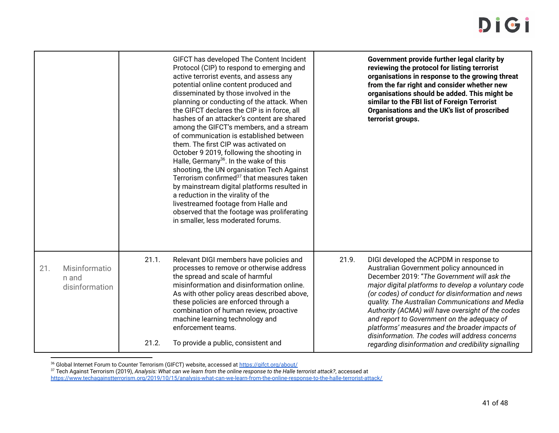|     |                                          |                | GIFCT has developed The Content Incident<br>Protocol (CIP) to respond to emerging and<br>active terrorist events, and assess any<br>potential online content produced and<br>disseminated by those involved in the<br>planning or conducting of the attack. When<br>the GIFCT declares the CIP is in force, all<br>hashes of an attacker's content are shared<br>among the GIFCT's members, and a stream<br>of communication is established between<br>them. The first CIP was activated on<br>October 9 2019, following the shooting in<br>Halle, Germany <sup>36</sup> . In the wake of this<br>shooting, the UN organisation Tech Against<br>Terrorism confirmed <sup>37</sup> that measures taken<br>by mainstream digital platforms resulted in<br>a reduction in the virality of the<br>livestreamed footage from Halle and<br>observed that the footage was proliferating<br>in smaller, less moderated forums. |       | Government provide further legal clarity by<br>reviewing the protocol for listing terrorist<br>organisations in response to the growing threat<br>from the far right and consider whether new<br>organisations should be added. This might be<br>similar to the FBI list of Foreign Terrorist<br>Organisations and the UK's list of proscribed<br>terrorist groups.                                                                                                                                                                                                 |
|-----|------------------------------------------|----------------|------------------------------------------------------------------------------------------------------------------------------------------------------------------------------------------------------------------------------------------------------------------------------------------------------------------------------------------------------------------------------------------------------------------------------------------------------------------------------------------------------------------------------------------------------------------------------------------------------------------------------------------------------------------------------------------------------------------------------------------------------------------------------------------------------------------------------------------------------------------------------------------------------------------------|-------|---------------------------------------------------------------------------------------------------------------------------------------------------------------------------------------------------------------------------------------------------------------------------------------------------------------------------------------------------------------------------------------------------------------------------------------------------------------------------------------------------------------------------------------------------------------------|
| 21. | Misinformatio<br>n and<br>disinformation | 21.1.<br>21.2. | Relevant DIGI members have policies and<br>processes to remove or otherwise address<br>the spread and scale of harmful<br>misinformation and disinformation online.<br>As with other policy areas described above,<br>these policies are enforced through a<br>combination of human review, proactive<br>machine learning technology and<br>enforcement teams.<br>To provide a public, consistent and                                                                                                                                                                                                                                                                                                                                                                                                                                                                                                                  | 21.9. | DIGI developed the ACPDM in response to<br>Australian Government policy announced in<br>December 2019: "The Government will ask the<br>major digital platforms to develop a voluntary code<br>(or codes) of conduct for disinformation and news<br>quality. The Australian Communications and Media<br>Authority (ACMA) will have oversight of the codes<br>and report to Government on the adequacy of<br>platforms' measures and the broader impacts of<br>disinformation. The codes will address concerns<br>regarding disinformation and credibility signalling |

<sup>36</sup> Global Internet Forum to Counter Terrorism (GIFCT) website, accessed at https://gifct.org/about/

<sup>37</sup> Tech Against Terrorism (2019), *Analysis: What can we learn from the online response to the Halle terrorist attack?*, accessed at

https://www.techagainstterrorism.org/2019/10/15/analysis-what-can-we-learn-from-the-online-response-to-the-halle-terrorist-attack/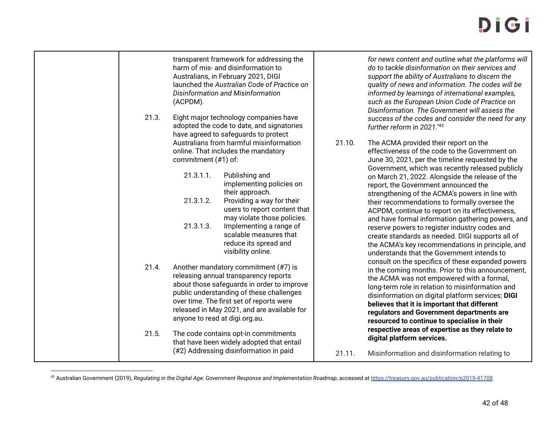| 21.3. | transparent framework for addressing the<br>harm of mis- and disinformation to<br>Australians, in February 2021, DIGI<br>launched the Australian Code of Practice on<br>Disinformation and Misinformation<br>(ACPDM).<br>Eight major technology companies have<br>adopted the code to date, and signatories<br>have agreed to safeguards to protect<br>Australians from harmful misinformation<br>online. That includes the mandatory<br>commitment (#1) of:<br>21.3.1.1.<br>Publishing and<br>implementing policies on<br>their approach.<br>21.3.1.2.<br>Providing a way for their<br>users to report content that<br>may violate those policies.<br>21.3.1.3.<br>Implementing a range of<br>scalable measures that<br>reduce its spread and<br>visibility online. | 21.10. | for news content and outline what the platforms will<br>do to tackle disinformation on their services and<br>support the ability of Australians to discern the<br>quality of news and information. The codes will be<br>informed by learnings of international examples,<br>such as the European Union Code of Practice on<br>Disinformation. The Government will assess the<br>success of the codes and consider the need for any<br>further reform in 2021."43<br>The ACMA provided their report on the<br>effectiveness of the code to the Government on<br>June 30, 2021, per the timeline requested by the<br>Government, which was recently released publicly<br>on March 21, 2022. Alongside the release of the<br>report, the Government announced the<br>strengthening of the ACMA's powers in line with<br>their recommendations to formally oversee the<br>ACPDM, continue to report on its effectiveness,<br>and have formal information gathering powers, and<br>reserve powers to register industry codes and<br>create standards as needed. DIGI supports all of<br>the ACMA's key recommendations in principle, and<br>understands that the Government intends to |
|-------|----------------------------------------------------------------------------------------------------------------------------------------------------------------------------------------------------------------------------------------------------------------------------------------------------------------------------------------------------------------------------------------------------------------------------------------------------------------------------------------------------------------------------------------------------------------------------------------------------------------------------------------------------------------------------------------------------------------------------------------------------------------------|--------|-----------------------------------------------------------------------------------------------------------------------------------------------------------------------------------------------------------------------------------------------------------------------------------------------------------------------------------------------------------------------------------------------------------------------------------------------------------------------------------------------------------------------------------------------------------------------------------------------------------------------------------------------------------------------------------------------------------------------------------------------------------------------------------------------------------------------------------------------------------------------------------------------------------------------------------------------------------------------------------------------------------------------------------------------------------------------------------------------------------------------------------------------------------------------------------|
| 21.4. | Another mandatory commitment (#7) is<br>releasing annual transparency reports<br>about those safeguards in order to improve<br>public understanding of these challenges<br>over time. The first set of reports were<br>released in May 2021, and are available for<br>anyone to read at digi.org.au.                                                                                                                                                                                                                                                                                                                                                                                                                                                                 |        | consult on the specifics of these expanded powers<br>in the coming months. Prior to this announcement,<br>the ACMA was not empowered with a formal,<br>long-term role in relation to misinformation and<br>disinformation on digital platform services; DIGI<br>believes that it is important that different<br>regulators and Government departments are<br>resourced to continue to specialise in their<br>respective areas of expertise as they relate to                                                                                                                                                                                                                                                                                                                                                                                                                                                                                                                                                                                                                                                                                                                      |
| 21.5. | The code contains opt-in commitments<br>that have been widely adopted that entail<br>(#2) Addressing disinformation in paid                                                                                                                                                                                                                                                                                                                                                                                                                                                                                                                                                                                                                                          | 21.11. | digital platform services.<br>Misinformation and disinformation relating to                                                                                                                                                                                                                                                                                                                                                                                                                                                                                                                                                                                                                                                                                                                                                                                                                                                                                                                                                                                                                                                                                                       |

<sup>&</sup>lt;sup>43</sup> Australian Government (2019), *Regulating in the Digital Age: Government Response and Implementation Roadmap*, accessed at https://treasury.gov.au/publication/p2019-41708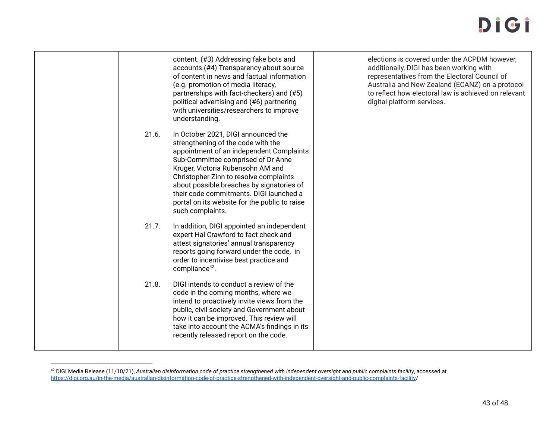|       | content. (#3) Addressing fake bots and<br>accounts.(#4) Transparency about source<br>of content in news and factual information<br>(e.g. promotion of media literacy,<br>partnerships with fact-checkers) and (#5)<br>political advertising and (#6) partnering<br>with universities/researchers to improve<br>understanding.                                                                           | elections is covered under the ACPDM however.<br>additionally, DIGI has been working with<br>representatives from the Electoral Council of<br>Australia and New Zealand (ECANZ) on a protocol<br>to reflect how electoral law is achieved on relevant<br>digital platform services. |
|-------|---------------------------------------------------------------------------------------------------------------------------------------------------------------------------------------------------------------------------------------------------------------------------------------------------------------------------------------------------------------------------------------------------------|-------------------------------------------------------------------------------------------------------------------------------------------------------------------------------------------------------------------------------------------------------------------------------------|
| 21.6. | In October 2021, DIGI announced the<br>strengthening of the code with the<br>appointment of an independent Complaints<br>Sub-Committee comprised of Dr Anne<br>Kruger, Victoria Rubensohn AM and<br>Christopher Zinn to resolve complaints<br>about possible breaches by signatories of<br>their code commitments. DIGI launched a<br>portal on its website for the public to raise<br>such complaints. |                                                                                                                                                                                                                                                                                     |
| 21.7. | In addition, DIGI appointed an independent<br>expert Hal Crawford to fact check and<br>attest signatories' annual transparency<br>reports going forward under the code, in<br>order to incentivise best practice and<br>compliance <sup>42</sup> .                                                                                                                                                      |                                                                                                                                                                                                                                                                                     |
| 21.8. | DIGI intends to conduct a review of the<br>code in the coming months, where we<br>intend to proactively invite views from the<br>public, civil society and Government about<br>how it can be improved. This review will<br>take into account the ACMA's findings in its<br>recently released report on the code.                                                                                        |                                                                                                                                                                                                                                                                                     |

<sup>42</sup> DIGI Media Release (11/10/21), *Australian disinformation code of practice strengthened with independent oversight and public complaints facility*, accessed at https://digi.org.au/in-the-media/australian-disinformation-code-of-practice-strengthened-with-independent-oversight-and-public-complaints-facility/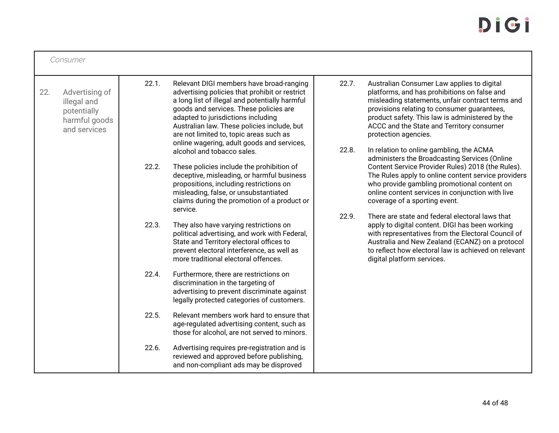|     | Consumer                                                                      |       |                                                                                                                                                                                                                                                                                                                                                                                                    |                |                                                                                                                                                                                                                                                                                                                                                                                                                                                                                                                                                   |  |
|-----|-------------------------------------------------------------------------------|-------|----------------------------------------------------------------------------------------------------------------------------------------------------------------------------------------------------------------------------------------------------------------------------------------------------------------------------------------------------------------------------------------------------|----------------|---------------------------------------------------------------------------------------------------------------------------------------------------------------------------------------------------------------------------------------------------------------------------------------------------------------------------------------------------------------------------------------------------------------------------------------------------------------------------------------------------------------------------------------------------|--|
| 22. | Advertising of<br>illegal and<br>potentially<br>harmful goods<br>and services | 22.1. | Relevant DIGI members have broad-ranging<br>advertising policies that prohibit or restrict<br>a long list of illegal and potentially harmful<br>goods and services. These policies are<br>adapted to jurisdictions including<br>Australian law. These policies include, but<br>are not limited to, topic areas such as<br>online wagering, adult goods and services,<br>alcohol and tobacco sales. | 22.7.<br>22.8. | Australian Consumer Law applies to digital<br>platforms, and has prohibitions on false and<br>misleading statements, unfair contract terms and<br>provisions relating to consumer guarantees,<br>product safety. This law is administered by the<br>ACCC and the State and Territory consumer<br>protection agencies.<br>In relation to online gambling, the ACMA<br>administers the Broadcasting Services (Online                                                                                                                                |  |
|     |                                                                               | 22.2. | These policies include the prohibition of<br>deceptive, misleading, or harmful business<br>propositions, including restrictions on<br>misleading, false, or unsubstantiated<br>claims during the promotion of a product or<br>service.                                                                                                                                                             | 22.9.          | Content Service Provider Rules) 2018 (the Rules).<br>The Rules apply to online content service providers<br>who provide gambling promotional content on<br>online content services in conjunction with live<br>coverage of a sporting event.<br>There are state and federal electoral laws that<br>apply to digital content. DIGI has been working<br>with representatives from the Electoral Council of<br>Australia and New Zealand (ECANZ) on a protocol<br>to reflect how electoral law is achieved on relevant<br>digital platform services. |  |
|     |                                                                               | 22.3. | They also have varying restrictions on<br>political advertising, and work with Federal,<br>State and Territory electoral offices to<br>prevent electoral interference, as well as<br>more traditional electoral offences.                                                                                                                                                                          |                |                                                                                                                                                                                                                                                                                                                                                                                                                                                                                                                                                   |  |
|     |                                                                               | 22.4. | Furthermore, there are restrictions on<br>discrimination in the targeting of<br>advertising to prevent discriminate against<br>legally protected categories of customers.                                                                                                                                                                                                                          |                |                                                                                                                                                                                                                                                                                                                                                                                                                                                                                                                                                   |  |
|     |                                                                               | 22.5. | Relevant members work hard to ensure that<br>age-regulated advertising content, such as<br>those for alcohol, are not served to minors.                                                                                                                                                                                                                                                            |                |                                                                                                                                                                                                                                                                                                                                                                                                                                                                                                                                                   |  |
|     |                                                                               | 22.6. | Advertising requires pre-registration and is<br>reviewed and approved before publishing,<br>and non-compliant ads may be disproved                                                                                                                                                                                                                                                                 |                |                                                                                                                                                                                                                                                                                                                                                                                                                                                                                                                                                   |  |

Г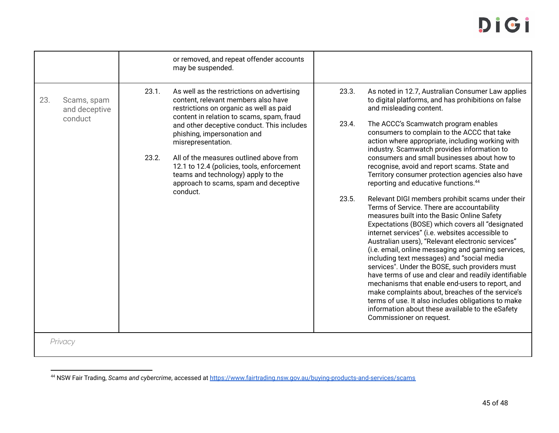|     |                                         |                | or removed, and repeat offender accounts<br>may be suspended.                                                                                                                                                                                                                                                                                                                                                                                                    |                         |                                                                                                                                                                                                                                                                                                                                                                                                                                                                                                                                                                                                                                                                                                                                                                                                                                                                                                                                                                                                                                                                                                                                                                                                                                                                                                              |
|-----|-----------------------------------------|----------------|------------------------------------------------------------------------------------------------------------------------------------------------------------------------------------------------------------------------------------------------------------------------------------------------------------------------------------------------------------------------------------------------------------------------------------------------------------------|-------------------------|--------------------------------------------------------------------------------------------------------------------------------------------------------------------------------------------------------------------------------------------------------------------------------------------------------------------------------------------------------------------------------------------------------------------------------------------------------------------------------------------------------------------------------------------------------------------------------------------------------------------------------------------------------------------------------------------------------------------------------------------------------------------------------------------------------------------------------------------------------------------------------------------------------------------------------------------------------------------------------------------------------------------------------------------------------------------------------------------------------------------------------------------------------------------------------------------------------------------------------------------------------------------------------------------------------------|
| 23. | Scams, spam<br>and deceptive<br>conduct | 23.1.<br>23.2. | As well as the restrictions on advertising<br>content, relevant members also have<br>restrictions on organic as well as paid<br>content in relation to scams, spam, fraud<br>and other deceptive conduct. This includes<br>phishing, impersonation and<br>misrepresentation.<br>All of the measures outlined above from<br>12.1 to 12.4 (policies, tools, enforcement<br>teams and technology) apply to the<br>approach to scams, spam and deceptive<br>conduct. | 23.3.<br>23.4.<br>23.5. | As noted in 12.7, Australian Consumer Law applies<br>to digital platforms, and has prohibitions on false<br>and misleading content.<br>The ACCC's Scamwatch program enables<br>consumers to complain to the ACCC that take<br>action where appropriate, including working with<br>industry. Scamwatch provides information to<br>consumers and small businesses about how to<br>recognise, avoid and report scams. State and<br>Territory consumer protection agencies also have<br>reporting and educative functions. <sup>44</sup><br>Relevant DIGI members prohibit scams under their<br>Terms of Service. There are accountability<br>measures built into the Basic Online Safety<br>Expectations (BOSE) which covers all "designated<br>internet services" (i.e. websites accessible to<br>Australian users), "Relevant electronic services"<br>(i.e. email, online messaging and gaming services,<br>including text messages) and "social media<br>services". Under the BOSE, such providers must<br>have terms of use and clear and readily identifiable<br>mechanisms that enable end-users to report, and<br>make complaints about, breaches of the service's<br>terms of use. It also includes obligations to make<br>information about these available to the eSafety<br>Commissioner on request. |
|     | Privacy                                 |                |                                                                                                                                                                                                                                                                                                                                                                                                                                                                  |                         |                                                                                                                                                                                                                                                                                                                                                                                                                                                                                                                                                                                                                                                                                                                                                                                                                                                                                                                                                                                                                                                                                                                                                                                                                                                                                                              |

<sup>44</sup> NSW Fair Trading, *Scams and cybercrime*, accessed at https://www.fairtrading.nsw.gov.au/buying-products-and-services/scams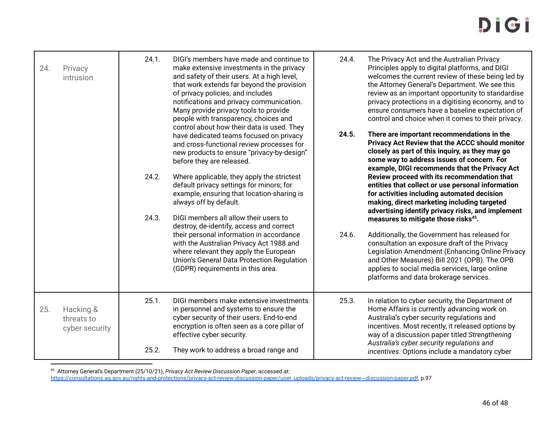| 24. | Privacy<br>intrusion                      | 24.1. | DIGI's members have made and continue to<br>make extensive investments in the privacy<br>and safety of their users. At a high level,<br>that work extends far beyond the provision<br>of privacy policies, and includes<br>notifications and privacy communication.<br>Many provide privacy tools to provide<br>people with transparency, choices and<br>control about how their data is used. They | 24.4. | The Privacy Act and the Australian Privacy<br>Principles apply to digital platforms, and DIGI<br>welcomes the current review of these being led by<br>the Attorney General's Department. We see this<br>review as an important opportunity to standardise<br>privacy protections in a digitising economy, and to<br>ensure consumers have a baseline expectation of<br>control and choice when it comes to their privacy. |
|-----|-------------------------------------------|-------|-----------------------------------------------------------------------------------------------------------------------------------------------------------------------------------------------------------------------------------------------------------------------------------------------------------------------------------------------------------------------------------------------------|-------|---------------------------------------------------------------------------------------------------------------------------------------------------------------------------------------------------------------------------------------------------------------------------------------------------------------------------------------------------------------------------------------------------------------------------|
|     |                                           | 24.2. | have dedicated teams focused on privacy<br>and cross-functional review processes for<br>new products to ensure "privacy-by-design"<br>before they are released.<br>Where applicable, they apply the strictest                                                                                                                                                                                       | 24.5. | There are important recommendations in the<br>Privacy Act Review that the ACCC should monitor<br>closely as part of this inquiry, as they may go<br>some way to address issues of concern. For<br>example, DIGI recommends that the Privacy Act<br>Review proceed with its recommendation that                                                                                                                            |
|     |                                           | 24.3. | default privacy settings for minors; for<br>example, ensuring that location-sharing is<br>always off by default.<br>DIGI members all allow their users to<br>destroy, de-identify, access and correct                                                                                                                                                                                               |       | entities that collect or use personal information<br>for activities including automated decision<br>making, direct marketing including targeted<br>advertising identify privacy risks, and implement<br>measures to mitigate those risks <sup>45</sup> .                                                                                                                                                                  |
|     |                                           |       | their personal information in accordance<br>with the Australian Privacy Act 1988 and<br>where relevant they apply the European<br>Union's General Data Protection Regulation<br>(GDPR) requirements in this area.                                                                                                                                                                                   | 24.6. | Additionally, the Government has released for<br>consultation an exposure draft of the Privacy<br>Legislation Amendment (Enhancing Online Privacy<br>and Other Measures) Bill 2021 (OPB). The OPB<br>applies to social media services, large online<br>platforms and data brokerage services.                                                                                                                             |
| 25. | Hacking &<br>threats to<br>cyber security | 25.1. | DIGI members make extensive investments<br>in personnel and systems to ensure the<br>cyber security of their users. End-to-end<br>encryption is often seen as a core pillar of<br>effective cyber security.                                                                                                                                                                                         | 25.3. | In relation to cyber security, the Department of<br>Home Affairs is currently advancing work on<br>Australia's cyber security regulations and<br>incentives. Most recently, it released options by<br>way of a discussion paper titled Strengthening                                                                                                                                                                      |
|     |                                           | 25.2. | They work to address a broad range and                                                                                                                                                                                                                                                                                                                                                              |       | Australia's cyber security regulations and<br>incentives. Options include a mandatory cyber                                                                                                                                                                                                                                                                                                                               |

<sup>45</sup> Attorney General's Department (25/10/21), *Privacy Act Review Discussion Paper*, accessed at:

https://consultations.ag.gov.au/rights-and-protections/privacy-act-review-discussion-paper/user uploads/privacy-act-review---discussion-paper.pdf, p.97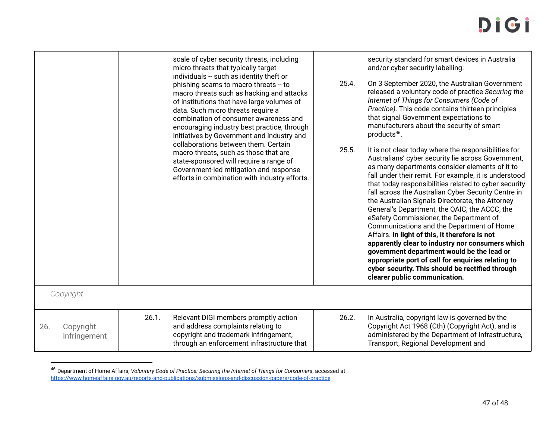|                                  | scale of cyber security threats, including<br>micro threats that typically target<br>individuals -- such as identity theft or<br>phishing scams to macro threats -- to<br>macro threats such as hacking and attacks<br>of institutions that have large volumes of<br>data. Such micro threats require a<br>combination of consumer awareness and<br>encouraging industry best practice, through<br>initiatives by Government and industry and<br>collaborations between them. Certain<br>macro threats, such as those that are<br>state-sponsored will require a range of<br>Government-led mitigation and response<br>efforts in combination with industry efforts. | 25.4.<br>25.5. | security standard for smart devices in Australia<br>and/or cyber security labelling.<br>On 3 September 2020, the Australian Government<br>released a voluntary code of practice Securing the<br>Internet of Things for Consumers (Code of<br>Practice). This code contains thirteen principles<br>that signal Government expectations to<br>manufacturers about the security of smart<br>products <sup>46</sup> .<br>It is not clear today where the responsibilities for<br>Australians' cyber security lie across Government,<br>as many departments consider elements of it to<br>fall under their remit. For example, it is understood<br>that today responsibilities related to cyber security<br>fall across the Australian Cyber Security Centre in<br>the Australian Signals Directorate, the Attorney<br>General's Department, the OAIC, the ACCC, the<br>eSafety Commissioner, the Department of<br>Communications and the Department of Home<br>Affairs. In light of this, It therefore is not<br>apparently clear to industry nor consumers which<br>government department would be the lead or<br>appropriate port of call for enquiries relating to<br>cyber security. This should be rectified through<br>clearer public communication. |
|----------------------------------|----------------------------------------------------------------------------------------------------------------------------------------------------------------------------------------------------------------------------------------------------------------------------------------------------------------------------------------------------------------------------------------------------------------------------------------------------------------------------------------------------------------------------------------------------------------------------------------------------------------------------------------------------------------------|----------------|--------------------------------------------------------------------------------------------------------------------------------------------------------------------------------------------------------------------------------------------------------------------------------------------------------------------------------------------------------------------------------------------------------------------------------------------------------------------------------------------------------------------------------------------------------------------------------------------------------------------------------------------------------------------------------------------------------------------------------------------------------------------------------------------------------------------------------------------------------------------------------------------------------------------------------------------------------------------------------------------------------------------------------------------------------------------------------------------------------------------------------------------------------------------------------------------------------------------------------------------------------|
| Copyright                        |                                                                                                                                                                                                                                                                                                                                                                                                                                                                                                                                                                                                                                                                      |                |                                                                                                                                                                                                                                                                                                                                                                                                                                                                                                                                                                                                                                                                                                                                                                                                                                                                                                                                                                                                                                                                                                                                                                                                                                                        |
| 26.<br>Copyright<br>infringement | 26.1.<br>Relevant DIGI members promptly action<br>and address complaints relating to<br>copyright and trademark infringement,<br>through an enforcement infrastructure that                                                                                                                                                                                                                                                                                                                                                                                                                                                                                          | 26.2.          | In Australia, copyright law is governed by the<br>Copyright Act 1968 (Cth) (Copyright Act), and is<br>administered by the Department of Infrastructure,<br>Transport, Regional Development and                                                                                                                                                                                                                                                                                                                                                                                                                                                                                                                                                                                                                                                                                                                                                                                                                                                                                                                                                                                                                                                         |

<sup>46</sup> Department of Home Affairs, *Voluntary Code of Practice: Securing the Internet of Things for Consumers*, accessed at https://www.homeaffairs.gov.au/reports-and-publications/submissions-and-discussion-papers/code-of-practice